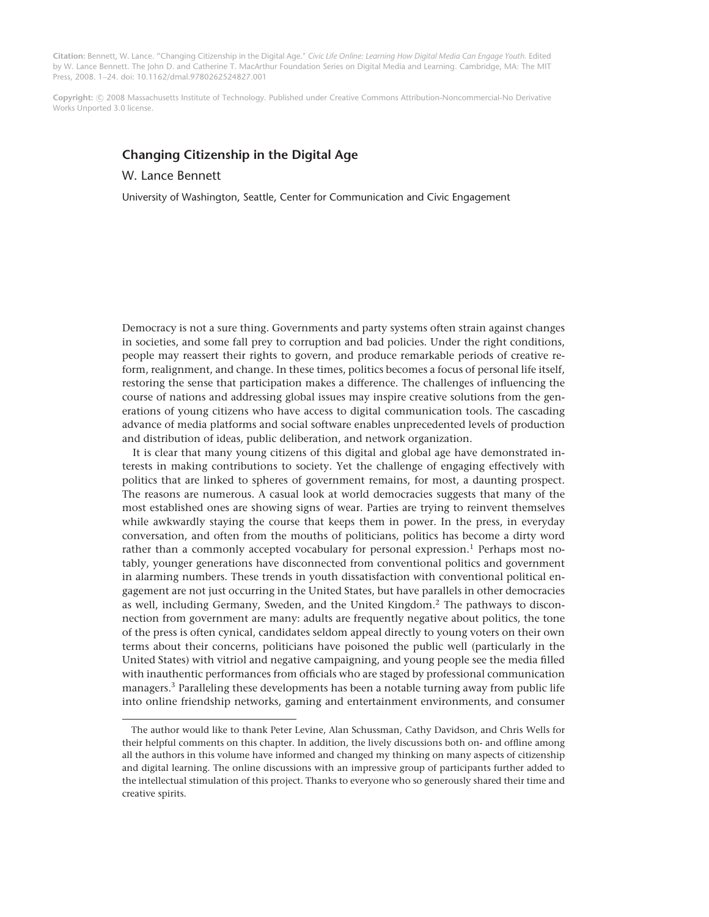**Citation:** Bennett, W. Lance. "Changing Citizenship in the Digital Age." *Civic Life Online: Learning How Digital Media Can Engage Youth*. Edited by W. Lance Bennett. The John D. and Catherine T. MacArthur Foundation Series on Digital Media and Learning. Cambridge, MA: The MIT Press, 2008. 1–24. doi: 10.1162/dmal.9780262524827.001

Copyright: © 2008 Massachusetts Institute of Technology. Published under Creative Commons Attribution-Noncommercial-No Derivative Works Unported 3.0 license.

# **Changing Citizenship in the Digital Age**

## W. Lance Bennett

University of Washington, Seattle, Center for Communication and Civic Engagement

Democracy is not a sure thing. Governments and party systems often strain against changes in societies, and some fall prey to corruption and bad policies. Under the right conditions, people may reassert their rights to govern, and produce remarkable periods of creative reform, realignment, and change. In these times, politics becomes a focus of personal life itself, restoring the sense that participation makes a difference. The challenges of influencing the course of nations and addressing global issues may inspire creative solutions from the generations of young citizens who have access to digital communication tools. The cascading advance of media platforms and social software enables unprecedented levels of production and distribution of ideas, public deliberation, and network organization.

It is clear that many young citizens of this digital and global age have demonstrated interests in making contributions to society. Yet the challenge of engaging effectively with politics that are linked to spheres of government remains, for most, a daunting prospect. The reasons are numerous. A casual look at world democracies suggests that many of the most established ones are showing signs of wear. Parties are trying to reinvent themselves while awkwardly staying the course that keeps them in power. In the press, in everyday conversation, and often from the mouths of politicians, politics has become a dirty word rather than a commonly accepted vocabulary for personal expression.<sup>1</sup> Perhaps most notably, younger generations have disconnected from conventional politics and government in alarming numbers. These trends in youth dissatisfaction with conventional political engagement are not just occurring in the United States, but have parallels in other democracies as well, including Germany, Sweden, and the United Kingdom.<sup>2</sup> The pathways to disconnection from government are many: adults are frequently negative about politics, the tone of the press is often cynical, candidates seldom appeal directly to young voters on their own terms about their concerns, politicians have poisoned the public well (particularly in the United States) with vitriol and negative campaigning, and young people see the media filled with inauthentic performances from officials who are staged by professional communication managers.<sup>3</sup> Paralleling these developments has been a notable turning away from public life into online friendship networks, gaming and entertainment environments, and consumer

The author would like to thank Peter Levine, Alan Schussman, Cathy Davidson, and Chris Wells for their helpful comments on this chapter. In addition, the lively discussions both on- and offline among all the authors in this volume have informed and changed my thinking on many aspects of citizenship and digital learning. The online discussions with an impressive group of participants further added to the intellectual stimulation of this project. Thanks to everyone who so generously shared their time and creative spirits.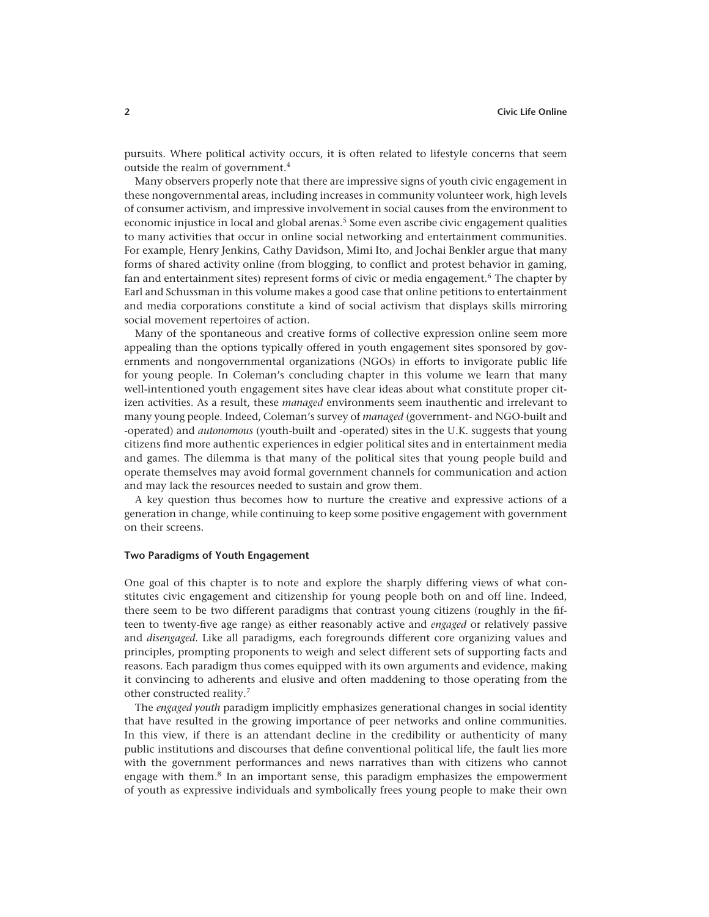pursuits. Where political activity occurs, it is often related to lifestyle concerns that seem outside the realm of government.<sup>4</sup>

Many observers properly note that there are impressive signs of youth civic engagement in these nongovernmental areas, including increases in community volunteer work, high levels of consumer activism, and impressive involvement in social causes from the environment to economic injustice in local and global arenas.<sup>5</sup> Some even ascribe civic engagement qualities to many activities that occur in online social networking and entertainment communities. For example, Henry Jenkins, Cathy Davidson, Mimi Ito, and Jochai Benkler argue that many forms of shared activity online (from blogging, to conflict and protest behavior in gaming, fan and entertainment sites) represent forms of civic or media engagement.<sup>6</sup> The chapter by Earl and Schussman in this volume makes a good case that online petitions to entertainment and media corporations constitute a kind of social activism that displays skills mirroring social movement repertoires of action.

Many of the spontaneous and creative forms of collective expression online seem more appealing than the options typically offered in youth engagement sites sponsored by governments and nongovernmental organizations (NGOs) in efforts to invigorate public life for young people. In Coleman's concluding chapter in this volume we learn that many well-intentioned youth engagement sites have clear ideas about what constitute proper citizen activities. As a result, these *managed* environments seem inauthentic and irrelevant to many young people. Indeed, Coleman's survey of *managed* (government- and NGO-built and -operated) and *autonomous* (youth-built and -operated) sites in the U.K. suggests that young citizens find more authentic experiences in edgier political sites and in entertainment media and games. The dilemma is that many of the political sites that young people build and operate themselves may avoid formal government channels for communication and action and may lack the resources needed to sustain and grow them.

A key question thus becomes how to nurture the creative and expressive actions of a generation in change, while continuing to keep some positive engagement with government on their screens.

## **Two Paradigms of Youth Engagement**

One goal of this chapter is to note and explore the sharply differing views of what constitutes civic engagement and citizenship for young people both on and off line. Indeed, there seem to be two different paradigms that contrast young citizens (roughly in the fifteen to twenty-five age range) as either reasonably active and *engaged* or relatively passive and *disengaged*. Like all paradigms, each foregrounds different core organizing values and principles, prompting proponents to weigh and select different sets of supporting facts and reasons. Each paradigm thus comes equipped with its own arguments and evidence, making it convincing to adherents and elusive and often maddening to those operating from the other constructed reality.<sup>7</sup>

The *engaged youth* paradigm implicitly emphasizes generational changes in social identity that have resulted in the growing importance of peer networks and online communities. In this view, if there is an attendant decline in the credibility or authenticity of many public institutions and discourses that define conventional political life, the fault lies more with the government performances and news narratives than with citizens who cannot engage with them.<sup>8</sup> In an important sense, this paradigm emphasizes the empowerment of youth as expressive individuals and symbolically frees young people to make their own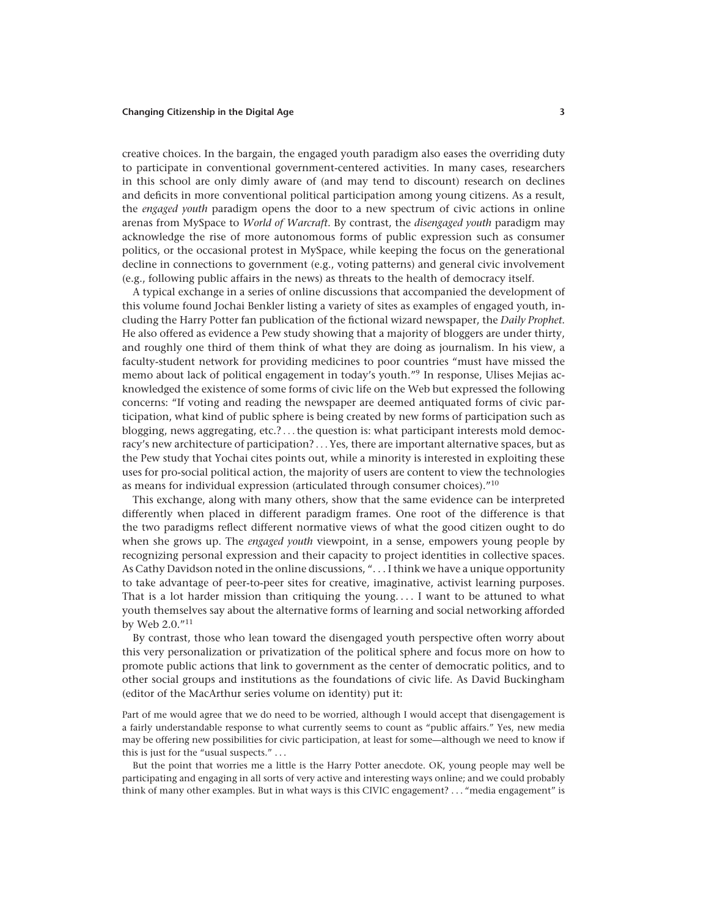creative choices. In the bargain, the engaged youth paradigm also eases the overriding duty to participate in conventional government-centered activities. In many cases, researchers in this school are only dimly aware of (and may tend to discount) research on declines and deficits in more conventional political participation among young citizens. As a result, the *engaged youth* paradigm opens the door to a new spectrum of civic actions in online arenas from MySpace to *World of Warcraft*. By contrast, the *disengaged youth* paradigm may acknowledge the rise of more autonomous forms of public expression such as consumer politics, or the occasional protest in MySpace, while keeping the focus on the generational decline in connections to government (e.g., voting patterns) and general civic involvement (e.g., following public affairs in the news) as threats to the health of democracy itself.

A typical exchange in a series of online discussions that accompanied the development of this volume found Jochai Benkler listing a variety of sites as examples of engaged youth, including the Harry Potter fan publication of the fictional wizard newspaper, the *Daily Prophet*. He also offered as evidence a Pew study showing that a majority of bloggers are under thirty, and roughly one third of them think of what they are doing as journalism. In his view, a faculty-student network for providing medicines to poor countries "must have missed the memo about lack of political engagement in today's youth."<sup>9</sup> In response, Ulises Mejias acknowledged the existence of some forms of civic life on the Web but expressed the following concerns: "If voting and reading the newspaper are deemed antiquated forms of civic participation, what kind of public sphere is being created by new forms of participation such as blogging, news aggregating, etc.?...the question is: what participant interests mold democracy's new architecture of participation? ... Yes, there are important alternative spaces, but as the Pew study that Yochai cites points out, while a minority is interested in exploiting these uses for pro-social political action, the majority of users are content to view the technologies as means for individual expression (articulated through consumer choices)."<sup>10</sup>

This exchange, along with many others, show that the same evidence can be interpreted differently when placed in different paradigm frames. One root of the difference is that the two paradigms reflect different normative views of what the good citizen ought to do when she grows up. The *engaged youth* viewpoint, in a sense, empowers young people by recognizing personal expression and their capacity to project identities in collective spaces. As Cathy Davidson noted in the online discussions, ". . . I think we have a unique opportunity to take advantage of peer-to-peer sites for creative, imaginative, activist learning purposes. That is a lot harder mission than critiquing the young.... I want to be attuned to what youth themselves say about the alternative forms of learning and social networking afforded by Web 2.0."<sup>11</sup>

By contrast, those who lean toward the disengaged youth perspective often worry about this very personalization or privatization of the political sphere and focus more on how to promote public actions that link to government as the center of democratic politics, and to other social groups and institutions as the foundations of civic life. As David Buckingham (editor of the MacArthur series volume on identity) put it:

Part of me would agree that we do need to be worried, although I would accept that disengagement is a fairly understandable response to what currently seems to count as "public affairs." Yes, new media may be offering new possibilities for civic participation, at least for some—although we need to know if this is just for the "usual suspects." ...

But the point that worries me a little is the Harry Potter anecdote. OK, young people may well be participating and engaging in all sorts of very active and interesting ways online; and we could probably think of many other examples. But in what ways is this CIVIC engagement? . . . "media engagement" is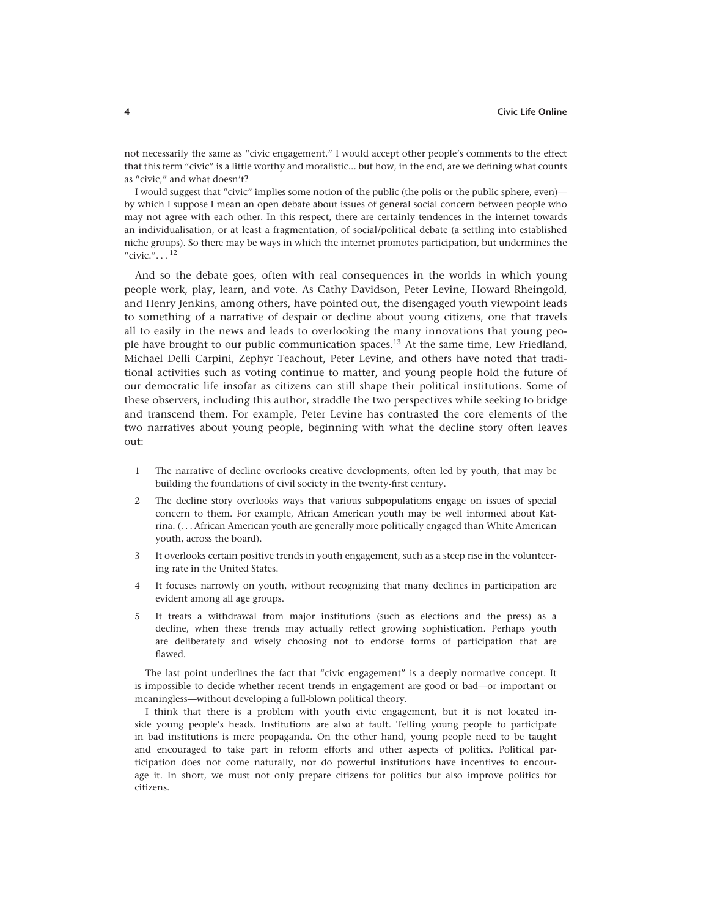not necessarily the same as "civic engagement." I would accept other people's comments to the effect that this term "civic" is a little worthy and moralistic... but how, in the end, are we defining what counts as "civic," and what doesn't?

I would suggest that "civic" implies some notion of the public (the polis or the public sphere, even) by which I suppose I mean an open debate about issues of general social concern between people who may not agree with each other. In this respect, there are certainly tendences in the internet towards an individualisation, or at least a fragmentation, of social/political debate (a settling into established niche groups). So there may be ways in which the internet promotes participation, but undermines the "civic."... $^{12}$ 

And so the debate goes, often with real consequences in the worlds in which young people work, play, learn, and vote. As Cathy Davidson, Peter Levine, Howard Rheingold, and Henry Jenkins, among others, have pointed out, the disengaged youth viewpoint leads to something of a narrative of despair or decline about young citizens, one that travels all to easily in the news and leads to overlooking the many innovations that young people have brought to our public communication spaces.<sup>13</sup> At the same time, Lew Friedland, Michael Delli Carpini, Zephyr Teachout, Peter Levine, and others have noted that traditional activities such as voting continue to matter, and young people hold the future of our democratic life insofar as citizens can still shape their political institutions. Some of these observers, including this author, straddle the two perspectives while seeking to bridge and transcend them. For example, Peter Levine has contrasted the core elements of the two narratives about young people, beginning with what the decline story often leaves out:

- 1 The narrative of decline overlooks creative developments, often led by youth, that may be building the foundations of civil society in the twenty-first century.
- 2 The decline story overlooks ways that various subpopulations engage on issues of special concern to them. For example, African American youth may be well informed about Katrina. (. . . African American youth are generally more politically engaged than White American youth, across the board).
- 3 It overlooks certain positive trends in youth engagement, such as a steep rise in the volunteering rate in the United States.
- 4 It focuses narrowly on youth, without recognizing that many declines in participation are evident among all age groups.
- 5 It treats a withdrawal from major institutions (such as elections and the press) as a decline, when these trends may actually reflect growing sophistication. Perhaps youth are deliberately and wisely choosing not to endorse forms of participation that are flawed.

The last point underlines the fact that "civic engagement" is a deeply normative concept. It is impossible to decide whether recent trends in engagement are good or bad—or important or meaningless—without developing a full-blown political theory.

I think that there is a problem with youth civic engagement, but it is not located inside young people's heads. Institutions are also at fault. Telling young people to participate in bad institutions is mere propaganda. On the other hand, young people need to be taught and encouraged to take part in reform efforts and other aspects of politics. Political participation does not come naturally, nor do powerful institutions have incentives to encourage it. In short, we must not only prepare citizens for politics but also improve politics for citizens.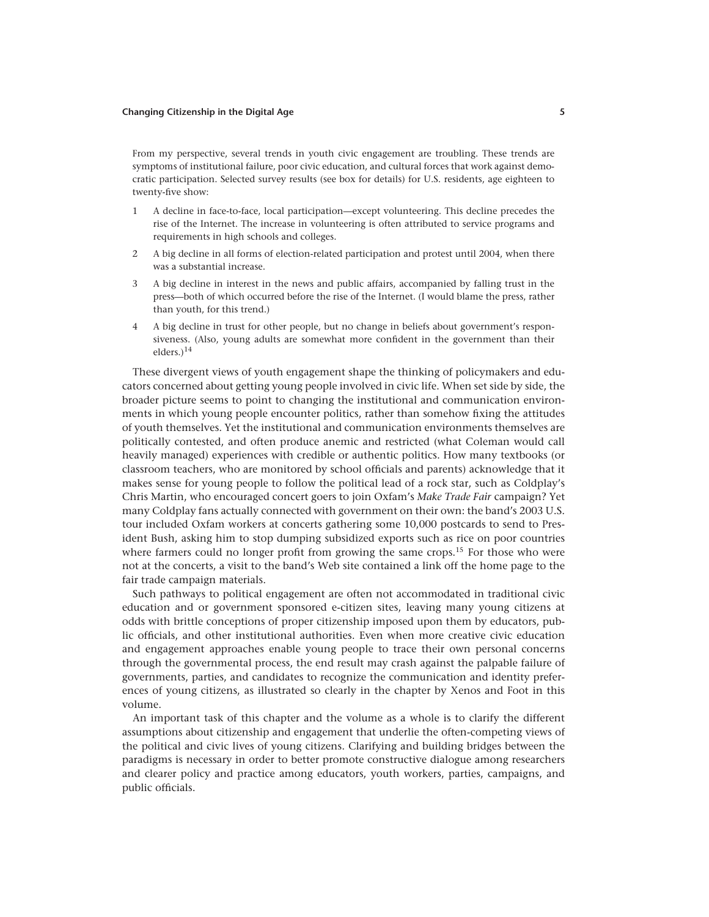From my perspective, several trends in youth civic engagement are troubling. These trends are symptoms of institutional failure, poor civic education, and cultural forces that work against democratic participation. Selected survey results (see box for details) for U.S. residents, age eighteen to twenty-five show:

- 1 A decline in face-to-face, local participation—except volunteering. This decline precedes the rise of the Internet. The increase in volunteering is often attributed to service programs and requirements in high schools and colleges.
- 2 A big decline in all forms of election-related participation and protest until 2004, when there was a substantial increase.
- 3 A big decline in interest in the news and public affairs, accompanied by falling trust in the press—both of which occurred before the rise of the Internet. (I would blame the press, rather than youth, for this trend.)
- 4 A big decline in trust for other people, but no change in beliefs about government's responsiveness. (Also, young adults are somewhat more confident in the government than their elders. $)^{14}$

These divergent views of youth engagement shape the thinking of policymakers and educators concerned about getting young people involved in civic life. When set side by side, the broader picture seems to point to changing the institutional and communication environments in which young people encounter politics, rather than somehow fixing the attitudes of youth themselves. Yet the institutional and communication environments themselves are politically contested, and often produce anemic and restricted (what Coleman would call heavily managed) experiences with credible or authentic politics. How many textbooks (or classroom teachers, who are monitored by school officials and parents) acknowledge that it makes sense for young people to follow the political lead of a rock star, such as Coldplay's Chris Martin, who encouraged concert goers to join Oxfam's *Make Trade Fair* campaign? Yet many Coldplay fans actually connected with government on their own: the band's 2003 U.S. tour included Oxfam workers at concerts gathering some 10,000 postcards to send to President Bush, asking him to stop dumping subsidized exports such as rice on poor countries where farmers could no longer profit from growing the same crops.<sup>15</sup> For those who were not at the concerts, a visit to the band's Web site contained a link off the home page to the fair trade campaign materials.

Such pathways to political engagement are often not accommodated in traditional civic education and or government sponsored e-citizen sites, leaving many young citizens at odds with brittle conceptions of proper citizenship imposed upon them by educators, public officials, and other institutional authorities. Even when more creative civic education and engagement approaches enable young people to trace their own personal concerns through the governmental process, the end result may crash against the palpable failure of governments, parties, and candidates to recognize the communication and identity preferences of young citizens, as illustrated so clearly in the chapter by Xenos and Foot in this volume.

An important task of this chapter and the volume as a whole is to clarify the different assumptions about citizenship and engagement that underlie the often-competing views of the political and civic lives of young citizens. Clarifying and building bridges between the paradigms is necessary in order to better promote constructive dialogue among researchers and clearer policy and practice among educators, youth workers, parties, campaigns, and public officials.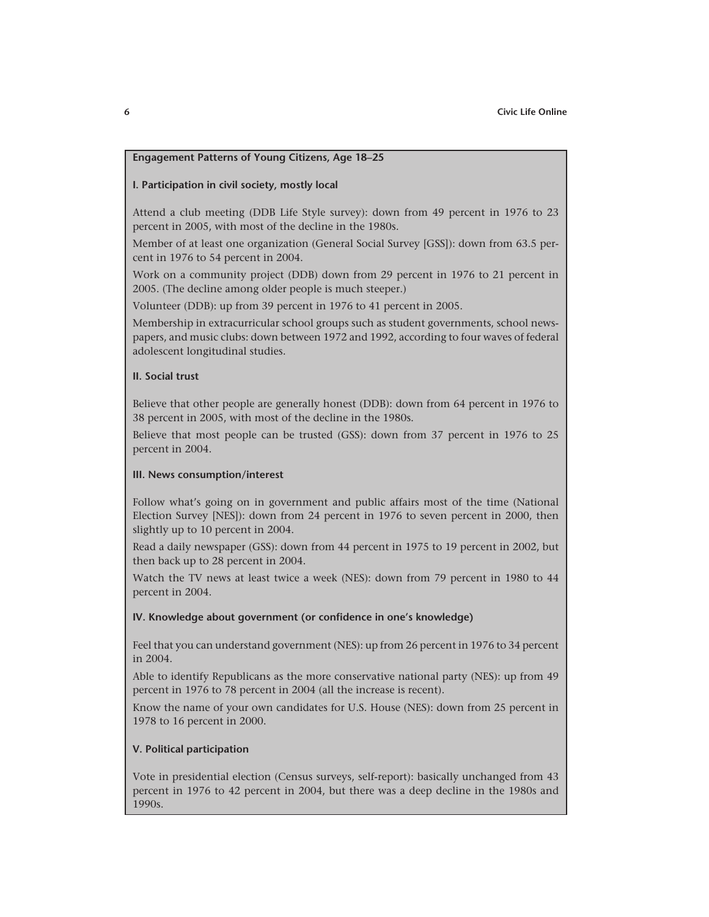### **Engagement Patterns of Young Citizens, Age 18–25**

## **I. Participation in civil society, mostly local**

Attend a club meeting (DDB Life Style survey): down from 49 percent in 1976 to 23 percent in 2005, with most of the decline in the 1980s.

Member of at least one organization (General Social Survey [GSS]): down from 63.5 percent in 1976 to 54 percent in 2004.

Work on a community project (DDB) down from 29 percent in 1976 to 21 percent in 2005. (The decline among older people is much steeper.)

Volunteer (DDB): up from 39 percent in 1976 to 41 percent in 2005.

Membership in extracurricular school groups such as student governments, school newspapers, and music clubs: down between 1972 and 1992, according to four waves of federal adolescent longitudinal studies.

## **II. Social trust**

Believe that other people are generally honest (DDB): down from 64 percent in 1976 to 38 percent in 2005, with most of the decline in the 1980s.

Believe that most people can be trusted (GSS): down from 37 percent in 1976 to 25 percent in 2004.

## **III. News consumption/interest**

Follow what's going on in government and public affairs most of the time (National Election Survey [NES]): down from 24 percent in 1976 to seven percent in 2000, then slightly up to 10 percent in 2004.

Read a daily newspaper (GSS): down from 44 percent in 1975 to 19 percent in 2002, but then back up to 28 percent in 2004.

Watch the TV news at least twice a week (NES): down from 79 percent in 1980 to 44 percent in 2004.

### **IV. Knowledge about government (or confidence in one's knowledge)**

Feel that you can understand government (NES): up from 26 percent in 1976 to 34 percent in 2004.

Able to identify Republicans as the more conservative national party (NES): up from 49 percent in 1976 to 78 percent in 2004 (all the increase is recent).

Know the name of your own candidates for U.S. House (NES): down from 25 percent in 1978 to 16 percent in 2000.

## **V. Political participation**

Vote in presidential election (Census surveys, self-report): basically unchanged from 43 percent in 1976 to 42 percent in 2004, but there was a deep decline in the 1980s and 1990s.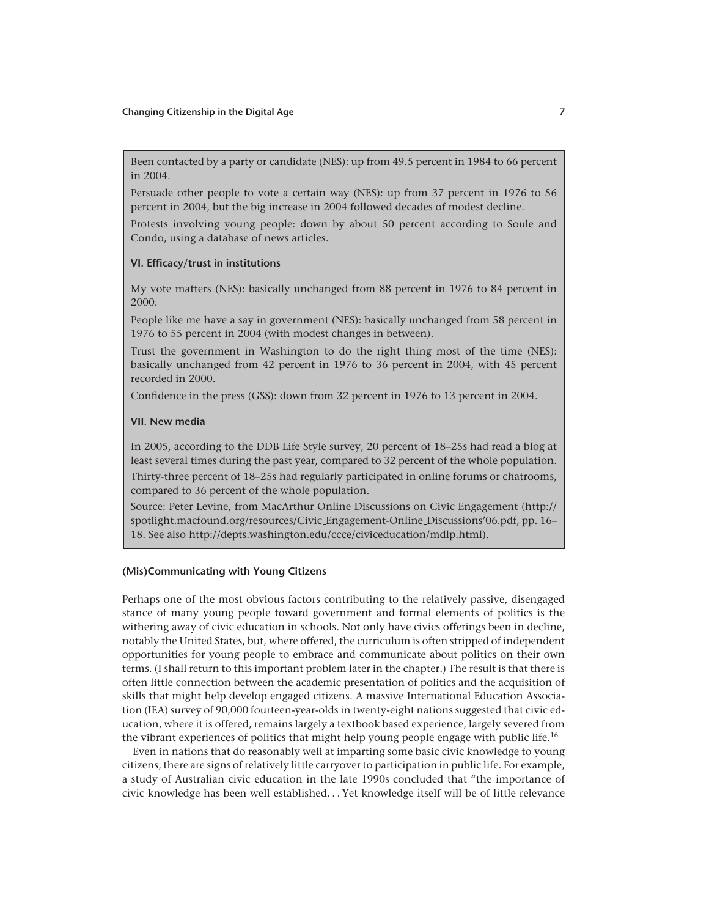Been contacted by a party or candidate (NES): up from 49.5 percent in 1984 to 66 percent in 2004.

Persuade other people to vote a certain way (NES): up from 37 percent in 1976 to 56 percent in 2004, but the big increase in 2004 followed decades of modest decline.

Protests involving young people: down by about 50 percent according to Soule and Condo, using a database of news articles.

### **VI. Efficacy/trust in institutions**

My vote matters (NES): basically unchanged from 88 percent in 1976 to 84 percent in 2000.

People like me have a say in government (NES): basically unchanged from 58 percent in 1976 to 55 percent in 2004 (with modest changes in between).

Trust the government in Washington to do the right thing most of the time (NES): basically unchanged from 42 percent in 1976 to 36 percent in 2004, with 45 percent recorded in 2000.

Confidence in the press (GSS): down from 32 percent in 1976 to 13 percent in 2004.

## **VII. New media**

In 2005, according to the DDB Life Style survey, 20 percent of 18–25s had read a blog at least several times during the past year, compared to 32 percent of the whole population. Thirty-three percent of 18–25s had regularly participated in online forums or chatrooms, compared to 36 percent of the whole population.

Source: Peter Levine, from MacArthur Online Discussions on Civic Engagement (http:// spotlight.macfound.org/resources/Civic Engagement-Online Discussions'06.pdf, pp. 16– 18. See also http://depts.washington.edu/ccce/civiceducation/mdlp.html).

## **(Mis)Communicating with Young Citizens**

Perhaps one of the most obvious factors contributing to the relatively passive, disengaged stance of many young people toward government and formal elements of politics is the withering away of civic education in schools. Not only have civics offerings been in decline, notably the United States, but, where offered, the curriculum is often stripped of independent opportunities for young people to embrace and communicate about politics on their own terms. (I shall return to this important problem later in the chapter.) The result is that there is often little connection between the academic presentation of politics and the acquisition of skills that might help develop engaged citizens. A massive International Education Association (IEA) survey of 90,000 fourteen-year-olds in twenty-eight nations suggested that civic education, where it is offered, remains largely a textbook based experience, largely severed from the vibrant experiences of politics that might help young people engage with public life.<sup>16</sup>

Even in nations that do reasonably well at imparting some basic civic knowledge to young citizens, there are signs of relatively little carryover to participation in public life. For example, a study of Australian civic education in the late 1990s concluded that "the importance of civic knowledge has been well established. . . Yet knowledge itself will be of little relevance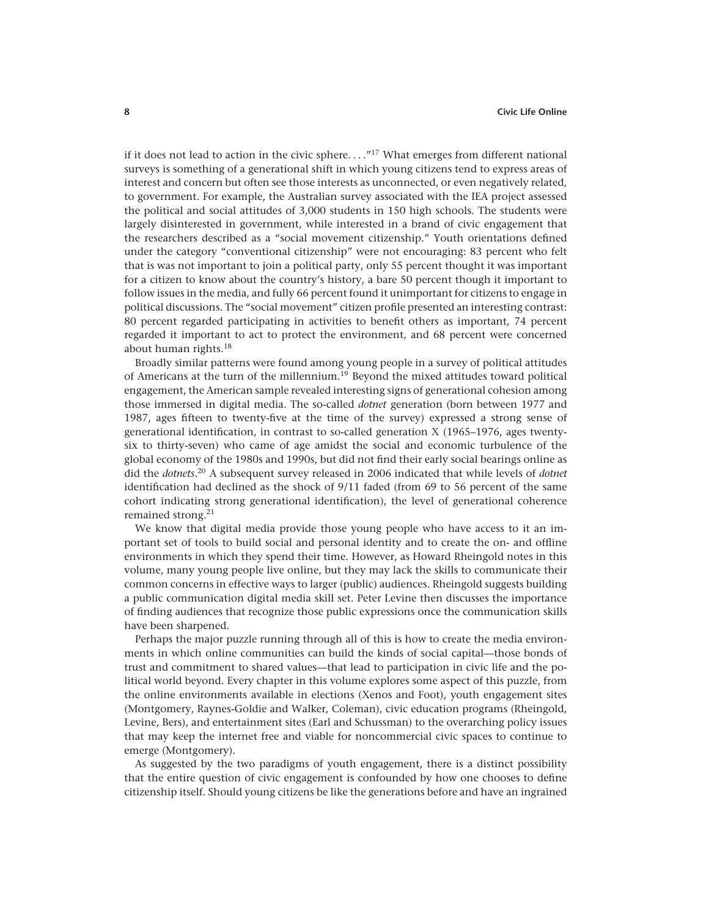if it does not lead to action in the civic sphere...."<sup>17</sup> What emerges from different national surveys is something of a generational shift in which young citizens tend to express areas of interest and concern but often see those interests as unconnected, or even negatively related, to government. For example, the Australian survey associated with the IEA project assessed the political and social attitudes of 3,000 students in 150 high schools. The students were largely disinterested in government, while interested in a brand of civic engagement that the researchers described as a "social movement citizenship." Youth orientations defined under the category "conventional citizenship" were not encouraging: 83 percent who felt that is was not important to join a political party, only 55 percent thought it was important for a citizen to know about the country's history, a bare 50 percent though it important to follow issues in the media, and fully 66 percent found it unimportant for citizens to engage in political discussions. The "social movement" citizen profile presented an interesting contrast: 80 percent regarded participating in activities to benefit others as important, 74 percent regarded it important to act to protect the environment, and 68 percent were concerned about human rights.<sup>18</sup>

Broadly similar patterns were found among young people in a survey of political attitudes of Americans at the turn of the millennium.<sup>19</sup> Beyond the mixed attitudes toward political engagement, the American sample revealed interesting signs of generational cohesion among those immersed in digital media. The so-called *dotnet* generation (born between 1977 and 1987, ages fifteen to twenty-five at the time of the survey) expressed a strong sense of generational identification, in contrast to so-called generation X (1965–1976, ages twentysix to thirty-seven) who came of age amidst the social and economic turbulence of the global economy of the 1980s and 1990s, but did not find their early social bearings online as did the *dotnets*. <sup>20</sup> A subsequent survey released in 2006 indicated that while levels of *dotnet* identification had declined as the shock of 9/11 faded (from 69 to 56 percent of the same cohort indicating strong generational identification), the level of generational coherence remained strong.<sup>21</sup>

We know that digital media provide those young people who have access to it an important set of tools to build social and personal identity and to create the on- and offline environments in which they spend their time. However, as Howard Rheingold notes in this volume, many young people live online, but they may lack the skills to communicate their common concerns in effective ways to larger (public) audiences. Rheingold suggests building a public communication digital media skill set. Peter Levine then discusses the importance of finding audiences that recognize those public expressions once the communication skills have been sharpened.

Perhaps the major puzzle running through all of this is how to create the media environments in which online communities can build the kinds of social capital—those bonds of trust and commitment to shared values—that lead to participation in civic life and the political world beyond. Every chapter in this volume explores some aspect of this puzzle, from the online environments available in elections (Xenos and Foot), youth engagement sites (Montgomery, Raynes-Goldie and Walker, Coleman), civic education programs (Rheingold, Levine, Bers), and entertainment sites (Earl and Schussman) to the overarching policy issues that may keep the internet free and viable for noncommercial civic spaces to continue to emerge (Montgomery).

As suggested by the two paradigms of youth engagement, there is a distinct possibility that the entire question of civic engagement is confounded by how one chooses to define citizenship itself. Should young citizens be like the generations before and have an ingrained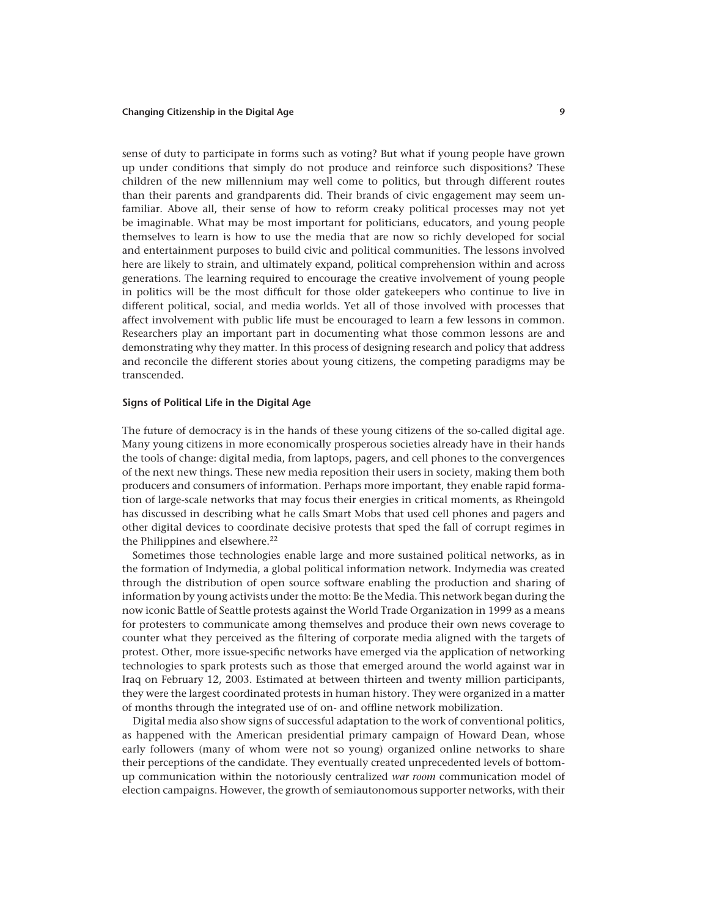sense of duty to participate in forms such as voting? But what if young people have grown up under conditions that simply do not produce and reinforce such dispositions? These children of the new millennium may well come to politics, but through different routes than their parents and grandparents did. Their brands of civic engagement may seem unfamiliar. Above all, their sense of how to reform creaky political processes may not yet be imaginable. What may be most important for politicians, educators, and young people themselves to learn is how to use the media that are now so richly developed for social and entertainment purposes to build civic and political communities. The lessons involved here are likely to strain, and ultimately expand, political comprehension within and across generations. The learning required to encourage the creative involvement of young people in politics will be the most difficult for those older gatekeepers who continue to live in different political, social, and media worlds. Yet all of those involved with processes that affect involvement with public life must be encouraged to learn a few lessons in common. Researchers play an important part in documenting what those common lessons are and demonstrating why they matter. In this process of designing research and policy that address and reconcile the different stories about young citizens, the competing paradigms may be transcended.

### **Signs of Political Life in the Digital Age**

The future of democracy is in the hands of these young citizens of the so-called digital age. Many young citizens in more economically prosperous societies already have in their hands the tools of change: digital media, from laptops, pagers, and cell phones to the convergences of the next new things. These new media reposition their users in society, making them both producers and consumers of information. Perhaps more important, they enable rapid formation of large-scale networks that may focus their energies in critical moments, as Rheingold has discussed in describing what he calls Smart Mobs that used cell phones and pagers and other digital devices to coordinate decisive protests that sped the fall of corrupt regimes in the Philippines and elsewhere.<sup>22</sup>

Sometimes those technologies enable large and more sustained political networks, as in the formation of Indymedia, a global political information network. Indymedia was created through the distribution of open source software enabling the production and sharing of information by young activists under the motto: Be the Media. This network began during the now iconic Battle of Seattle protests against the World Trade Organization in 1999 as a means for protesters to communicate among themselves and produce their own news coverage to counter what they perceived as the filtering of corporate media aligned with the targets of protest. Other, more issue-specific networks have emerged via the application of networking technologies to spark protests such as those that emerged around the world against war in Iraq on February 12, 2003. Estimated at between thirteen and twenty million participants, they were the largest coordinated protests in human history. They were organized in a matter of months through the integrated use of on- and offline network mobilization.

Digital media also show signs of successful adaptation to the work of conventional politics, as happened with the American presidential primary campaign of Howard Dean, whose early followers (many of whom were not so young) organized online networks to share their perceptions of the candidate. They eventually created unprecedented levels of bottomup communication within the notoriously centralized *war room* communication model of election campaigns. However, the growth of semiautonomous supporter networks, with their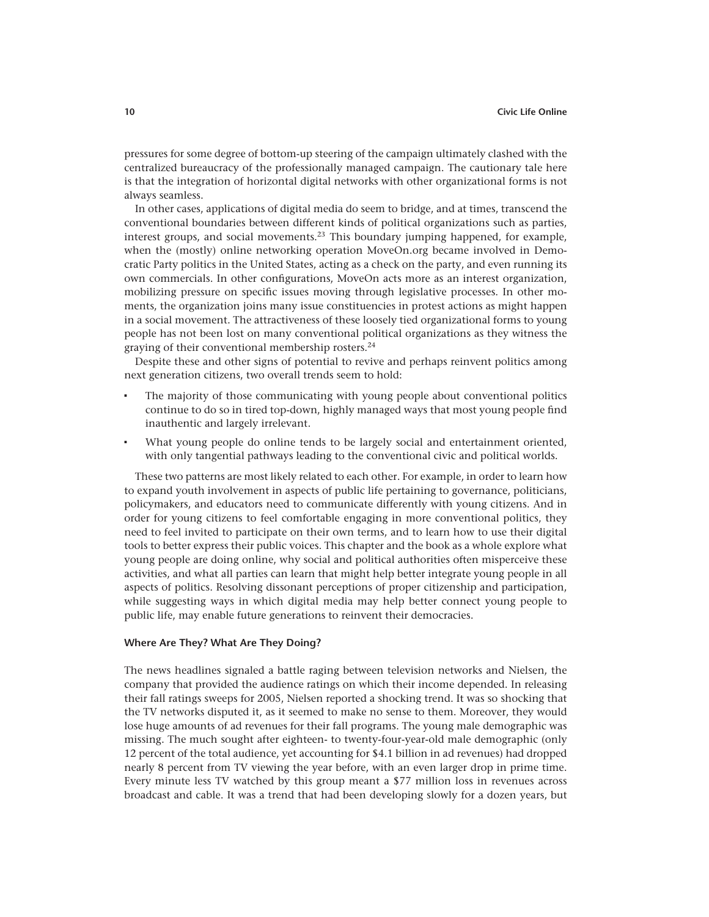pressures for some degree of bottom-up steering of the campaign ultimately clashed with the centralized bureaucracy of the professionally managed campaign. The cautionary tale here is that the integration of horizontal digital networks with other organizational forms is not always seamless.

In other cases, applications of digital media do seem to bridge, and at times, transcend the conventional boundaries between different kinds of political organizations such as parties, interest groups, and social movements. $2<sup>3</sup>$  This boundary jumping happened, for example, when the (mostly) online networking operation MoveOn.org became involved in Democratic Party politics in the United States, acting as a check on the party, and even running its own commercials. In other configurations, MoveOn acts more as an interest organization, mobilizing pressure on specific issues moving through legislative processes. In other moments, the organization joins many issue constituencies in protest actions as might happen in a social movement. The attractiveness of these loosely tied organizational forms to young people has not been lost on many conventional political organizations as they witness the graying of their conventional membership rosters.<sup>24</sup>

Despite these and other signs of potential to revive and perhaps reinvent politics among next generation citizens, two overall trends seem to hold:

- The majority of those communicating with young people about conventional politics continue to do so in tired top-down, highly managed ways that most young people find inauthentic and largely irrelevant.
- What young people do online tends to be largely social and entertainment oriented, with only tangential pathways leading to the conventional civic and political worlds.

These two patterns are most likely related to each other. For example, in order to learn how to expand youth involvement in aspects of public life pertaining to governance, politicians, policymakers, and educators need to communicate differently with young citizens. And in order for young citizens to feel comfortable engaging in more conventional politics, they need to feel invited to participate on their own terms, and to learn how to use their digital tools to better express their public voices. This chapter and the book as a whole explore what young people are doing online, why social and political authorities often misperceive these activities, and what all parties can learn that might help better integrate young people in all aspects of politics. Resolving dissonant perceptions of proper citizenship and participation, while suggesting ways in which digital media may help better connect young people to public life, may enable future generations to reinvent their democracies.

## **Where Are They? What Are They Doing?**

The news headlines signaled a battle raging between television networks and Nielsen, the company that provided the audience ratings on which their income depended. In releasing their fall ratings sweeps for 2005, Nielsen reported a shocking trend. It was so shocking that the TV networks disputed it, as it seemed to make no sense to them. Moreover, they would lose huge amounts of ad revenues for their fall programs. The young male demographic was missing. The much sought after eighteen- to twenty-four-year-old male demographic (only 12 percent of the total audience, yet accounting for \$4.1 billion in ad revenues) had dropped nearly 8 percent from TV viewing the year before, with an even larger drop in prime time. Every minute less TV watched by this group meant a \$77 million loss in revenues across broadcast and cable. It was a trend that had been developing slowly for a dozen years, but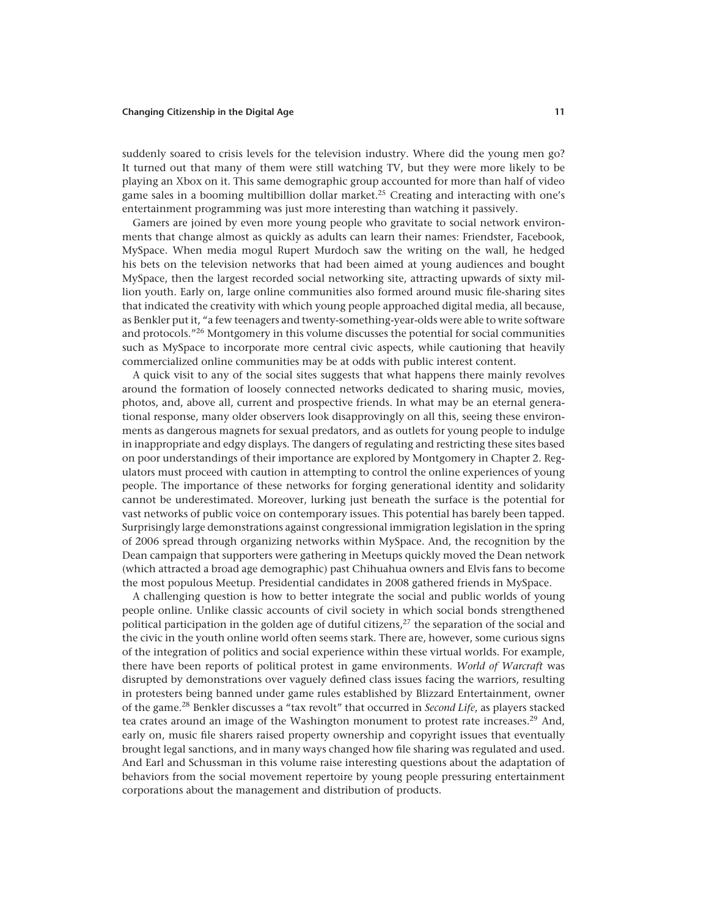#### **Changing Citizenship in the Digital Age 11 Changing Citizenship in the Digital Age 11**

suddenly soared to crisis levels for the television industry. Where did the young men go? It turned out that many of them were still watching TV, but they were more likely to be playing an Xbox on it. This same demographic group accounted for more than half of video game sales in a booming multibillion dollar market.<sup>25</sup> Creating and interacting with one's entertainment programming was just more interesting than watching it passively.

Gamers are joined by even more young people who gravitate to social network environments that change almost as quickly as adults can learn their names: Friendster, Facebook, MySpace. When media mogul Rupert Murdoch saw the writing on the wall, he hedged his bets on the television networks that had been aimed at young audiences and bought MySpace, then the largest recorded social networking site, attracting upwards of sixty million youth. Early on, large online communities also formed around music file-sharing sites that indicated the creativity with which young people approached digital media, all because, as Benkler put it, "a few teenagers and twenty-something-year-olds were able to write software and protocols."<sup>26</sup> Montgomery in this volume discusses the potential for social communities such as MySpace to incorporate more central civic aspects, while cautioning that heavily commercialized online communities may be at odds with public interest content.

A quick visit to any of the social sites suggests that what happens there mainly revolves around the formation of loosely connected networks dedicated to sharing music, movies, photos, and, above all, current and prospective friends. In what may be an eternal generational response, many older observers look disapprovingly on all this, seeing these environments as dangerous magnets for sexual predators, and as outlets for young people to indulge in inappropriate and edgy displays. The dangers of regulating and restricting these sites based on poor understandings of their importance are explored by Montgomery in Chapter 2. Regulators must proceed with caution in attempting to control the online experiences of young people. The importance of these networks for forging generational identity and solidarity cannot be underestimated. Moreover, lurking just beneath the surface is the potential for vast networks of public voice on contemporary issues. This potential has barely been tapped. Surprisingly large demonstrations against congressional immigration legislation in the spring of 2006 spread through organizing networks within MySpace. And, the recognition by the Dean campaign that supporters were gathering in Meetups quickly moved the Dean network (which attracted a broad age demographic) past Chihuahua owners and Elvis fans to become the most populous Meetup. Presidential candidates in 2008 gathered friends in MySpace.

A challenging question is how to better integrate the social and public worlds of young people online. Unlike classic accounts of civil society in which social bonds strengthened political participation in the golden age of dutiful citizens,<sup>27</sup> the separation of the social and the civic in the youth online world often seems stark. There are, however, some curious signs of the integration of politics and social experience within these virtual worlds. For example, there have been reports of political protest in game environments. *World of Warcraft* was disrupted by demonstrations over vaguely defined class issues facing the warriors, resulting in protesters being banned under game rules established by Blizzard Entertainment, owner of the game.<sup>28</sup> Benkler discusses a "tax revolt" that occurred in *Second Life*, as players stacked tea crates around an image of the Washington monument to protest rate increases.<sup>29</sup> And, early on, music file sharers raised property ownership and copyright issues that eventually brought legal sanctions, and in many ways changed how file sharing was regulated and used. And Earl and Schussman in this volume raise interesting questions about the adaptation of behaviors from the social movement repertoire by young people pressuring entertainment corporations about the management and distribution of products.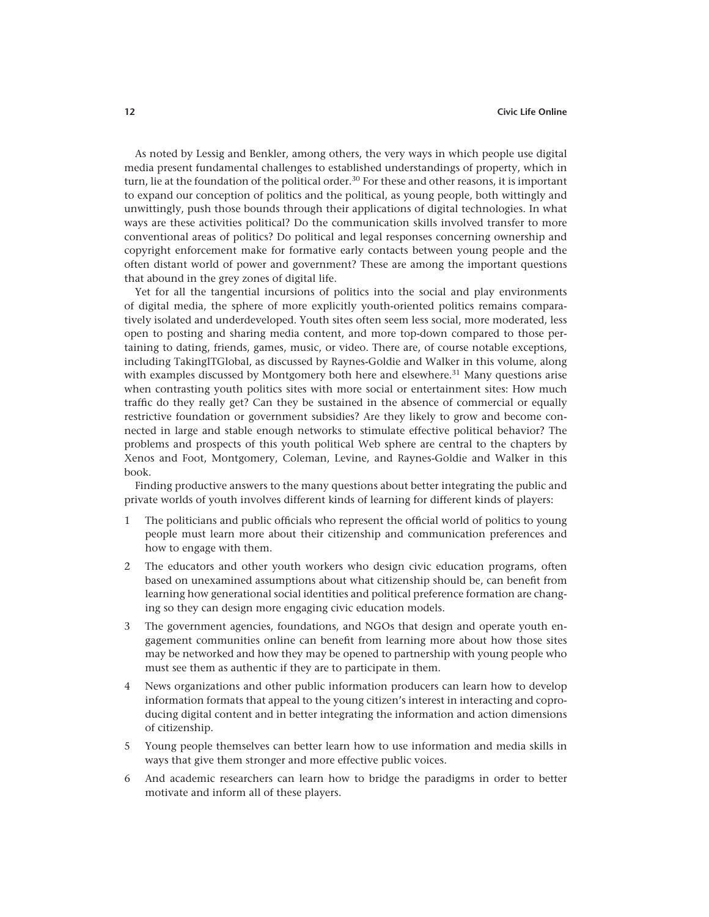As noted by Lessig and Benkler, among others, the very ways in which people use digital media present fundamental challenges to established understandings of property, which in turn, lie at the foundation of the political order.<sup>30</sup> For these and other reasons, it is important to expand our conception of politics and the political, as young people, both wittingly and unwittingly, push those bounds through their applications of digital technologies. In what ways are these activities political? Do the communication skills involved transfer to more conventional areas of politics? Do political and legal responses concerning ownership and copyright enforcement make for formative early contacts between young people and the often distant world of power and government? These are among the important questions that abound in the grey zones of digital life.

Yet for all the tangential incursions of politics into the social and play environments of digital media, the sphere of more explicitly youth-oriented politics remains comparatively isolated and underdeveloped. Youth sites often seem less social, more moderated, less open to posting and sharing media content, and more top-down compared to those pertaining to dating, friends, games, music, or video. There are, of course notable exceptions, including TakingITGlobal, as discussed by Raynes-Goldie and Walker in this volume, along with examples discussed by Montgomery both here and elsewhere.<sup>31</sup> Many questions arise when contrasting youth politics sites with more social or entertainment sites: How much traffic do they really get? Can they be sustained in the absence of commercial or equally restrictive foundation or government subsidies? Are they likely to grow and become connected in large and stable enough networks to stimulate effective political behavior? The problems and prospects of this youth political Web sphere are central to the chapters by Xenos and Foot, Montgomery, Coleman, Levine, and Raynes-Goldie and Walker in this book.

Finding productive answers to the many questions about better integrating the public and private worlds of youth involves different kinds of learning for different kinds of players:

- 1 The politicians and public officials who represent the official world of politics to young people must learn more about their citizenship and communication preferences and how to engage with them.
- 2 The educators and other youth workers who design civic education programs, often based on unexamined assumptions about what citizenship should be, can benefit from learning how generational social identities and political preference formation are changing so they can design more engaging civic education models.
- 3 The government agencies, foundations, and NGOs that design and operate youth engagement communities online can benefit from learning more about how those sites may be networked and how they may be opened to partnership with young people who must see them as authentic if they are to participate in them.
- 4 News organizations and other public information producers can learn how to develop information formats that appeal to the young citizen's interest in interacting and coproducing digital content and in better integrating the information and action dimensions of citizenship.
- 5 Young people themselves can better learn how to use information and media skills in ways that give them stronger and more effective public voices.
- 6 And academic researchers can learn how to bridge the paradigms in order to better motivate and inform all of these players.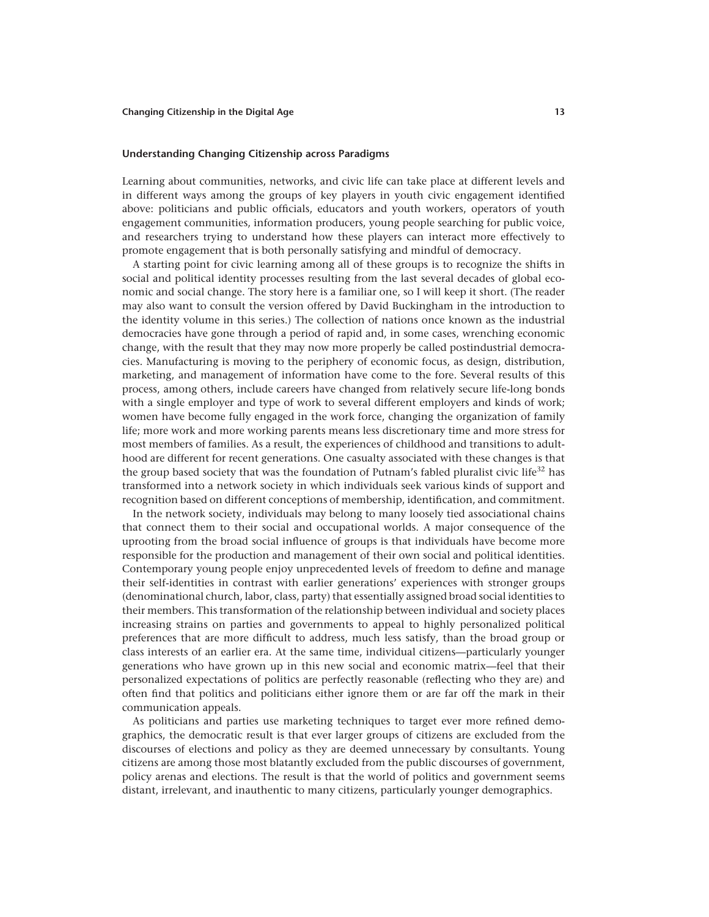#### **Understanding Changing Citizenship across Paradigms**

Learning about communities, networks, and civic life can take place at different levels and in different ways among the groups of key players in youth civic engagement identified above: politicians and public officials, educators and youth workers, operators of youth engagement communities, information producers, young people searching for public voice, and researchers trying to understand how these players can interact more effectively to promote engagement that is both personally satisfying and mindful of democracy.

A starting point for civic learning among all of these groups is to recognize the shifts in social and political identity processes resulting from the last several decades of global economic and social change. The story here is a familiar one, so I will keep it short. (The reader may also want to consult the version offered by David Buckingham in the introduction to the identity volume in this series.) The collection of nations once known as the industrial democracies have gone through a period of rapid and, in some cases, wrenching economic change, with the result that they may now more properly be called postindustrial democracies. Manufacturing is moving to the periphery of economic focus, as design, distribution, marketing, and management of information have come to the fore. Several results of this process, among others, include careers have changed from relatively secure life-long bonds with a single employer and type of work to several different employers and kinds of work; women have become fully engaged in the work force, changing the organization of family life; more work and more working parents means less discretionary time and more stress for most members of families. As a result, the experiences of childhood and transitions to adulthood are different for recent generations. One casualty associated with these changes is that the group based society that was the foundation of Putnam's fabled pluralist civic life<sup>32</sup> has transformed into a network society in which individuals seek various kinds of support and recognition based on different conceptions of membership, identification, and commitment.

In the network society, individuals may belong to many loosely tied associational chains that connect them to their social and occupational worlds. A major consequence of the uprooting from the broad social influence of groups is that individuals have become more responsible for the production and management of their own social and political identities. Contemporary young people enjoy unprecedented levels of freedom to define and manage their self-identities in contrast with earlier generations' experiences with stronger groups (denominational church, labor, class, party) that essentially assigned broad social identities to their members. This transformation of the relationship between individual and society places increasing strains on parties and governments to appeal to highly personalized political preferences that are more difficult to address, much less satisfy, than the broad group or class interests of an earlier era. At the same time, individual citizens—particularly younger generations who have grown up in this new social and economic matrix—feel that their personalized expectations of politics are perfectly reasonable (reflecting who they are) and often find that politics and politicians either ignore them or are far off the mark in their communication appeals.

As politicians and parties use marketing techniques to target ever more refined demographics, the democratic result is that ever larger groups of citizens are excluded from the discourses of elections and policy as they are deemed unnecessary by consultants. Young citizens are among those most blatantly excluded from the public discourses of government, policy arenas and elections. The result is that the world of politics and government seems distant, irrelevant, and inauthentic to many citizens, particularly younger demographics.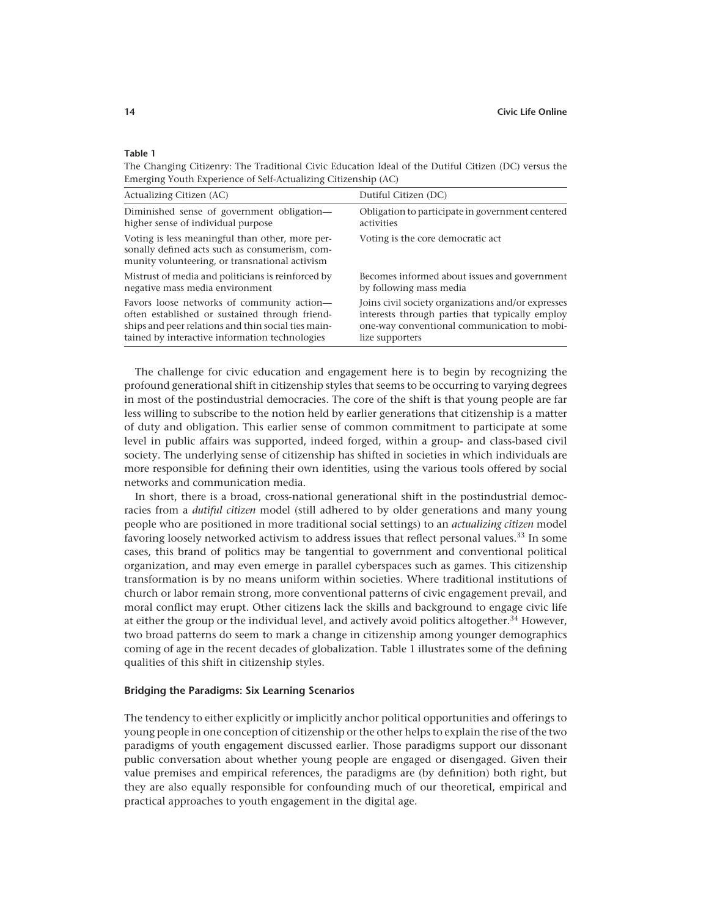#### **Table 1**

The Changing Citizenry: The Traditional Civic Education Ideal of the Dutiful Citizen (DC) versus the Emerging Youth Experience of Self-Actualizing Citizenship (AC)

| Actualizing Citizen (AC)                                                                                                                            | Dutiful Citizen (DC)                               |
|-----------------------------------------------------------------------------------------------------------------------------------------------------|----------------------------------------------------|
| Diminished sense of government obligation—                                                                                                          | Obligation to participate in government centered   |
| higher sense of individual purpose                                                                                                                  | activities                                         |
| Voting is less meaningful than other, more per-<br>sonally defined acts such as consumerism, com-<br>munity volunteering, or transnational activism | Voting is the core democratic act                  |
| Mistrust of media and politicians is reinforced by                                                                                                  | Becomes informed about issues and government       |
| negative mass media environment                                                                                                                     | by following mass media                            |
| Favors loose networks of community action—                                                                                                          | Joins civil society organizations and/or expresses |
| often established or sustained through friend-                                                                                                      | interests through parties that typically employ    |
| ships and peer relations and thin social ties main-                                                                                                 | one-way conventional communication to mobi-        |
| tained by interactive information technologies                                                                                                      | lize supporters                                    |

The challenge for civic education and engagement here is to begin by recognizing the profound generational shift in citizenship styles that seems to be occurring to varying degrees in most of the postindustrial democracies. The core of the shift is that young people are far less willing to subscribe to the notion held by earlier generations that citizenship is a matter of duty and obligation. This earlier sense of common commitment to participate at some level in public affairs was supported, indeed forged, within a group- and class-based civil society. The underlying sense of citizenship has shifted in societies in which individuals are more responsible for defining their own identities, using the various tools offered by social networks and communication media.

In short, there is a broad, cross-national generational shift in the postindustrial democracies from a *dutiful citizen* model (still adhered to by older generations and many young people who are positioned in more traditional social settings) to an *actualizing citizen* model favoring loosely networked activism to address issues that reflect personal values.<sup>33</sup> In some cases, this brand of politics may be tangential to government and conventional political organization, and may even emerge in parallel cyberspaces such as games. This citizenship transformation is by no means uniform within societies. Where traditional institutions of church or labor remain strong, more conventional patterns of civic engagement prevail, and moral conflict may erupt. Other citizens lack the skills and background to engage civic life at either the group or the individual level, and actively avoid politics altogether.<sup>34</sup> However, two broad patterns do seem to mark a change in citizenship among younger demographics coming of age in the recent decades of globalization. Table 1 illustrates some of the defining qualities of this shift in citizenship styles.

#### **Bridging the Paradigms: Six Learning Scenarios**

The tendency to either explicitly or implicitly anchor political opportunities and offerings to young people in one conception of citizenship or the other helps to explain the rise of the two paradigms of youth engagement discussed earlier. Those paradigms support our dissonant public conversation about whether young people are engaged or disengaged. Given their value premises and empirical references, the paradigms are (by definition) both right, but they are also equally responsible for confounding much of our theoretical, empirical and practical approaches to youth engagement in the digital age.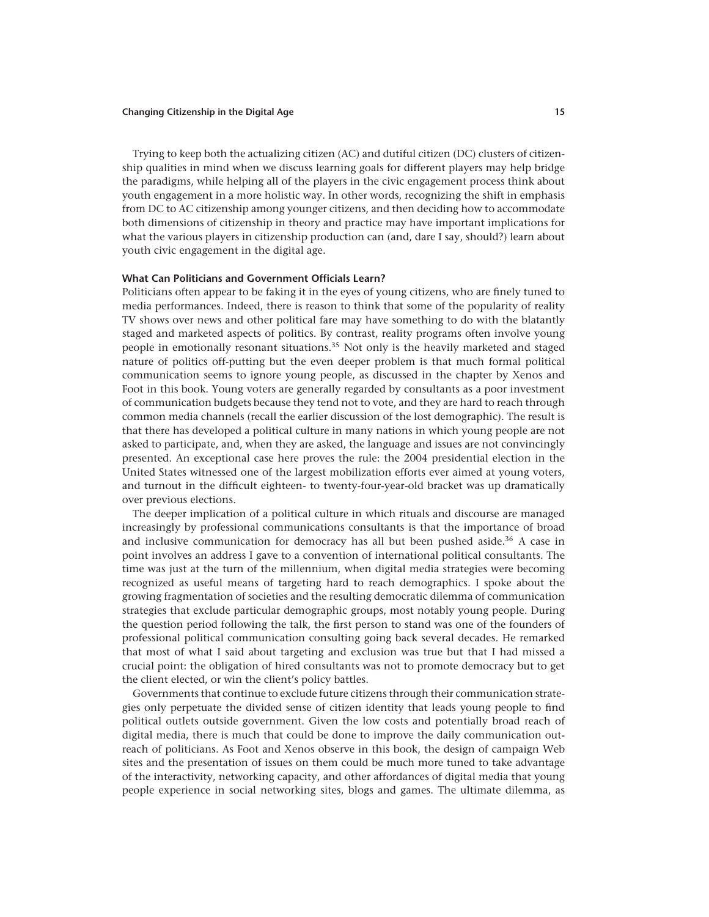Trying to keep both the actualizing citizen (AC) and dutiful citizen (DC) clusters of citizenship qualities in mind when we discuss learning goals for different players may help bridge the paradigms, while helping all of the players in the civic engagement process think about youth engagement in a more holistic way. In other words, recognizing the shift in emphasis from DC to AC citizenship among younger citizens, and then deciding how to accommodate both dimensions of citizenship in theory and practice may have important implications for what the various players in citizenship production can (and, dare I say, should?) learn about youth civic engagement in the digital age.

### **What Can Politicians and Government Officials Learn?**

Politicians often appear to be faking it in the eyes of young citizens, who are finely tuned to media performances. Indeed, there is reason to think that some of the popularity of reality TV shows over news and other political fare may have something to do with the blatantly staged and marketed aspects of politics. By contrast, reality programs often involve young people in emotionally resonant situations.<sup>35</sup> Not only is the heavily marketed and staged nature of politics off-putting but the even deeper problem is that much formal political communication seems to ignore young people, as discussed in the chapter by Xenos and Foot in this book. Young voters are generally regarded by consultants as a poor investment of communication budgets because they tend not to vote, and they are hard to reach through common media channels (recall the earlier discussion of the lost demographic). The result is that there has developed a political culture in many nations in which young people are not asked to participate, and, when they are asked, the language and issues are not convincingly presented. An exceptional case here proves the rule: the 2004 presidential election in the United States witnessed one of the largest mobilization efforts ever aimed at young voters, and turnout in the difficult eighteen- to twenty-four-year-old bracket was up dramatically over previous elections.

The deeper implication of a political culture in which rituals and discourse are managed increasingly by professional communications consultants is that the importance of broad and inclusive communication for democracy has all but been pushed aside.<sup>36</sup> A case in point involves an address I gave to a convention of international political consultants. The time was just at the turn of the millennium, when digital media strategies were becoming recognized as useful means of targeting hard to reach demographics. I spoke about the growing fragmentation of societies and the resulting democratic dilemma of communication strategies that exclude particular demographic groups, most notably young people. During the question period following the talk, the first person to stand was one of the founders of professional political communication consulting going back several decades. He remarked that most of what I said about targeting and exclusion was true but that I had missed a crucial point: the obligation of hired consultants was not to promote democracy but to get the client elected, or win the client's policy battles.

Governments that continue to exclude future citizens through their communication strategies only perpetuate the divided sense of citizen identity that leads young people to find political outlets outside government. Given the low costs and potentially broad reach of digital media, there is much that could be done to improve the daily communication outreach of politicians. As Foot and Xenos observe in this book, the design of campaign Web sites and the presentation of issues on them could be much more tuned to take advantage of the interactivity, networking capacity, and other affordances of digital media that young people experience in social networking sites, blogs and games. The ultimate dilemma, as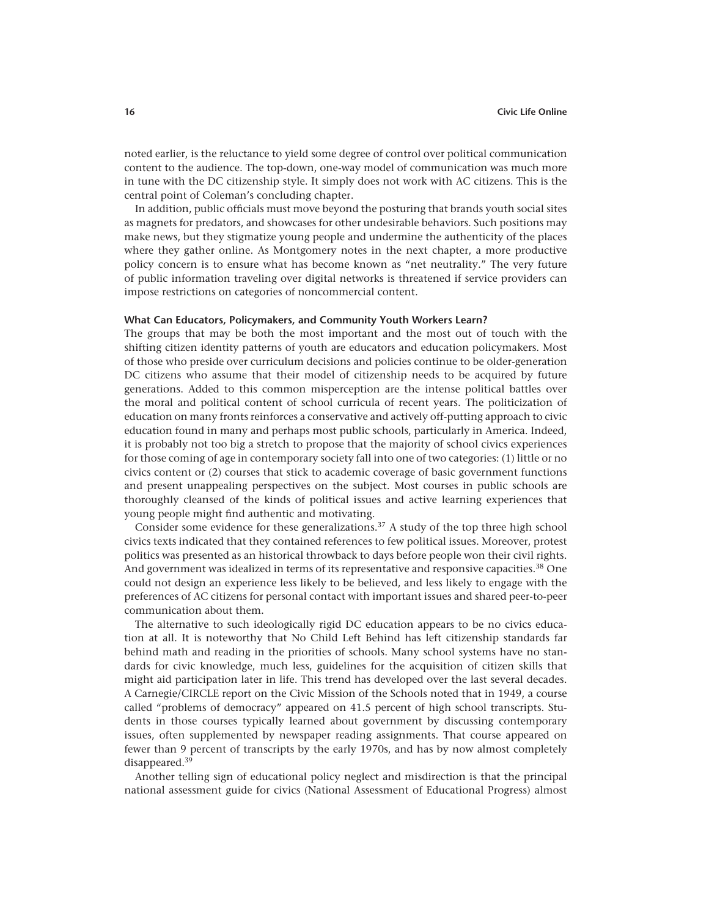noted earlier, is the reluctance to yield some degree of control over political communication content to the audience. The top-down, one-way model of communication was much more in tune with the DC citizenship style. It simply does not work with AC citizens. This is the central point of Coleman's concluding chapter.

In addition, public officials must move beyond the posturing that brands youth social sites as magnets for predators, and showcases for other undesirable behaviors. Such positions may make news, but they stigmatize young people and undermine the authenticity of the places where they gather online. As Montgomery notes in the next chapter, a more productive policy concern is to ensure what has become known as "net neutrality." The very future of public information traveling over digital networks is threatened if service providers can impose restrictions on categories of noncommercial content.

#### **What Can Educators, Policymakers, and Community Youth Workers Learn?**

The groups that may be both the most important and the most out of touch with the shifting citizen identity patterns of youth are educators and education policymakers. Most of those who preside over curriculum decisions and policies continue to be older-generation DC citizens who assume that their model of citizenship needs to be acquired by future generations. Added to this common misperception are the intense political battles over the moral and political content of school curricula of recent years. The politicization of education on many fronts reinforces a conservative and actively off-putting approach to civic education found in many and perhaps most public schools, particularly in America. Indeed, it is probably not too big a stretch to propose that the majority of school civics experiences for those coming of age in contemporary society fall into one of two categories: (1) little or no civics content or (2) courses that stick to academic coverage of basic government functions and present unappealing perspectives on the subject. Most courses in public schools are thoroughly cleansed of the kinds of political issues and active learning experiences that young people might find authentic and motivating.

Consider some evidence for these generalizations.<sup>37</sup> A study of the top three high school civics texts indicated that they contained references to few political issues. Moreover, protest politics was presented as an historical throwback to days before people won their civil rights. And government was idealized in terms of its representative and responsive capacities.<sup>38</sup> One could not design an experience less likely to be believed, and less likely to engage with the preferences of AC citizens for personal contact with important issues and shared peer-to-peer communication about them.

The alternative to such ideologically rigid DC education appears to be no civics education at all. It is noteworthy that No Child Left Behind has left citizenship standards far behind math and reading in the priorities of schools. Many school systems have no standards for civic knowledge, much less, guidelines for the acquisition of citizen skills that might aid participation later in life. This trend has developed over the last several decades. A Carnegie/CIRCLE report on the Civic Mission of the Schools noted that in 1949, a course called "problems of democracy" appeared on 41.5 percent of high school transcripts. Students in those courses typically learned about government by discussing contemporary issues, often supplemented by newspaper reading assignments. That course appeared on fewer than 9 percent of transcripts by the early 1970s, and has by now almost completely disappeared.<sup>39</sup>

Another telling sign of educational policy neglect and misdirection is that the principal national assessment guide for civics (National Assessment of Educational Progress) almost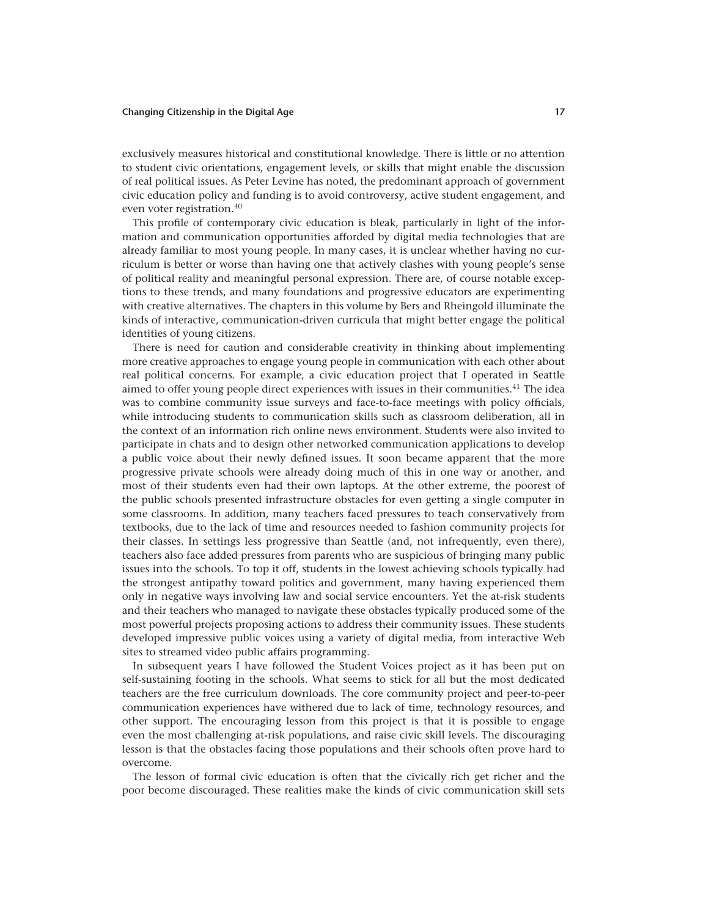exclusively measures historical and constitutional knowledge. There is little or no attention to student civic orientations, engagement levels, or skills that might enable the discussion of real political issues. As Peter Levine has noted, the predominant approach of government civic education policy and funding is to avoid controversy, active student engagement, and even voter registration.<sup>40</sup>

This profile of contemporary civic education is bleak, particularly in light of the information and communication opportunities afforded by digital media technologies that are already familiar to most young people. In many cases, it is unclear whether having no curriculum is better or worse than having one that actively clashes with young people's sense of political reality and meaningful personal expression. There are, of course notable exceptions to these trends, and many foundations and progressive educators are experimenting with creative alternatives. The chapters in this volume by Bers and Rheingold illuminate the kinds of interactive, communication-driven curricula that might better engage the political identities of young citizens.

There is need for caution and considerable creativity in thinking about implementing more creative approaches to engage young people in communication with each other about real political concerns. For example, a civic education project that I operated in Seattle aimed to offer young people direct experiences with issues in their communities.<sup>41</sup> The idea was to combine community issue surveys and face-to-face meetings with policy officials, while introducing students to communication skills such as classroom deliberation, all in the context of an information rich online news environment. Students were also invited to participate in chats and to design other networked communication applications to develop a public voice about their newly defined issues. It soon became apparent that the more progressive private schools were already doing much of this in one way or another, and most of their students even had their own laptops. At the other extreme, the poorest of the public schools presented infrastructure obstacles for even getting a single computer in some classrooms. In addition, many teachers faced pressures to teach conservatively from textbooks, due to the lack of time and resources needed to fashion community projects for their classes. In settings less progressive than Seattle (and, not infrequently, even there), teachers also face added pressures from parents who are suspicious of bringing many public issues into the schools. To top it off, students in the lowest achieving schools typically had the strongest antipathy toward politics and government, many having experienced them only in negative ways involving law and social service encounters. Yet the at-risk students and their teachers who managed to navigate these obstacles typically produced some of the most powerful projects proposing actions to address their community issues. These students developed impressive public voices using a variety of digital media, from interactive Web sites to streamed video public affairs programming.

In subsequent years I have followed the Student Voices project as it has been put on self-sustaining footing in the schools. What seems to stick for all but the most dedicated teachers are the free curriculum downloads. The core community project and peer-to-peer communication experiences have withered due to lack of time, technology resources, and other support. The encouraging lesson from this project is that it is possible to engage even the most challenging at-risk populations, and raise civic skill levels. The discouraging lesson is that the obstacles facing those populations and their schools often prove hard to overcome.

The lesson of formal civic education is often that the civically rich get richer and the poor become discouraged. These realities make the kinds of civic communication skill sets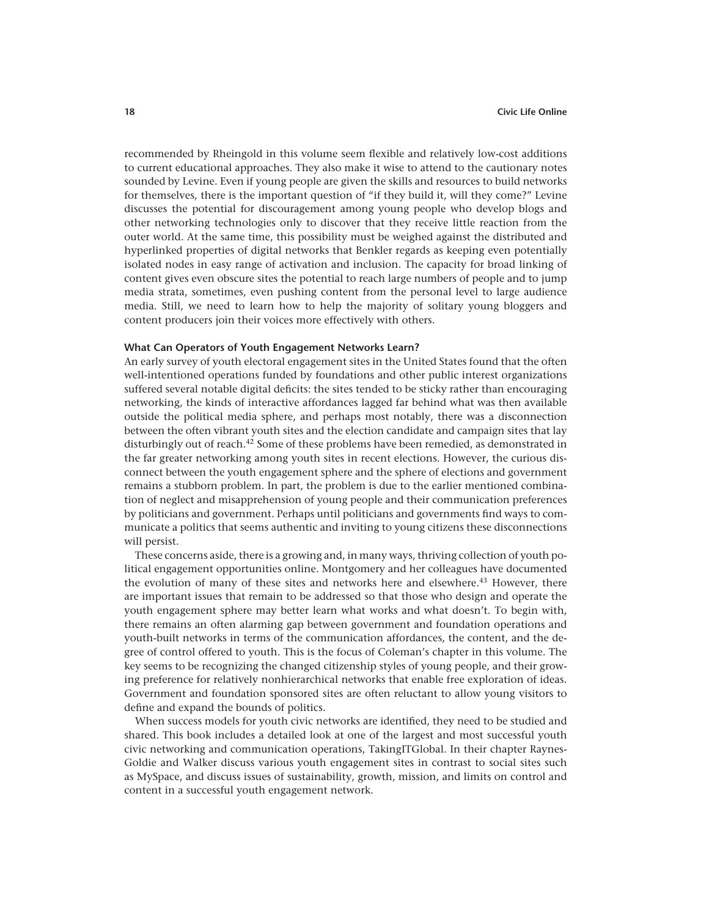recommended by Rheingold in this volume seem flexible and relatively low-cost additions to current educational approaches. They also make it wise to attend to the cautionary notes sounded by Levine. Even if young people are given the skills and resources to build networks for themselves, there is the important question of "if they build it, will they come?" Levine discusses the potential for discouragement among young people who develop blogs and other networking technologies only to discover that they receive little reaction from the outer world. At the same time, this possibility must be weighed against the distributed and hyperlinked properties of digital networks that Benkler regards as keeping even potentially isolated nodes in easy range of activation and inclusion. The capacity for broad linking of content gives even obscure sites the potential to reach large numbers of people and to jump media strata, sometimes, even pushing content from the personal level to large audience media. Still, we need to learn how to help the majority of solitary young bloggers and content producers join their voices more effectively with others.

## **What Can Operators of Youth Engagement Networks Learn?**

An early survey of youth electoral engagement sites in the United States found that the often well-intentioned operations funded by foundations and other public interest organizations suffered several notable digital deficits: the sites tended to be sticky rather than encouraging networking, the kinds of interactive affordances lagged far behind what was then available outside the political media sphere, and perhaps most notably, there was a disconnection between the often vibrant youth sites and the election candidate and campaign sites that lay disturbingly out of reach.<sup>42</sup> Some of these problems have been remedied, as demonstrated in the far greater networking among youth sites in recent elections. However, the curious disconnect between the youth engagement sphere and the sphere of elections and government remains a stubborn problem. In part, the problem is due to the earlier mentioned combination of neglect and misapprehension of young people and their communication preferences by politicians and government. Perhaps until politicians and governments find ways to communicate a politics that seems authentic and inviting to young citizens these disconnections will persist.

These concerns aside, there is a growing and, in many ways, thriving collection of youth political engagement opportunities online. Montgomery and her colleagues have documented the evolution of many of these sites and networks here and elsewhere.<sup>43</sup> However, there are important issues that remain to be addressed so that those who design and operate the youth engagement sphere may better learn what works and what doesn't. To begin with, there remains an often alarming gap between government and foundation operations and youth-built networks in terms of the communication affordances, the content, and the degree of control offered to youth. This is the focus of Coleman's chapter in this volume. The key seems to be recognizing the changed citizenship styles of young people, and their growing preference for relatively nonhierarchical networks that enable free exploration of ideas. Government and foundation sponsored sites are often reluctant to allow young visitors to define and expand the bounds of politics.

When success models for youth civic networks are identified, they need to be studied and shared. This book includes a detailed look at one of the largest and most successful youth civic networking and communication operations, TakingITGlobal. In their chapter Raynes-Goldie and Walker discuss various youth engagement sites in contrast to social sites such as MySpace, and discuss issues of sustainability, growth, mission, and limits on control and content in a successful youth engagement network.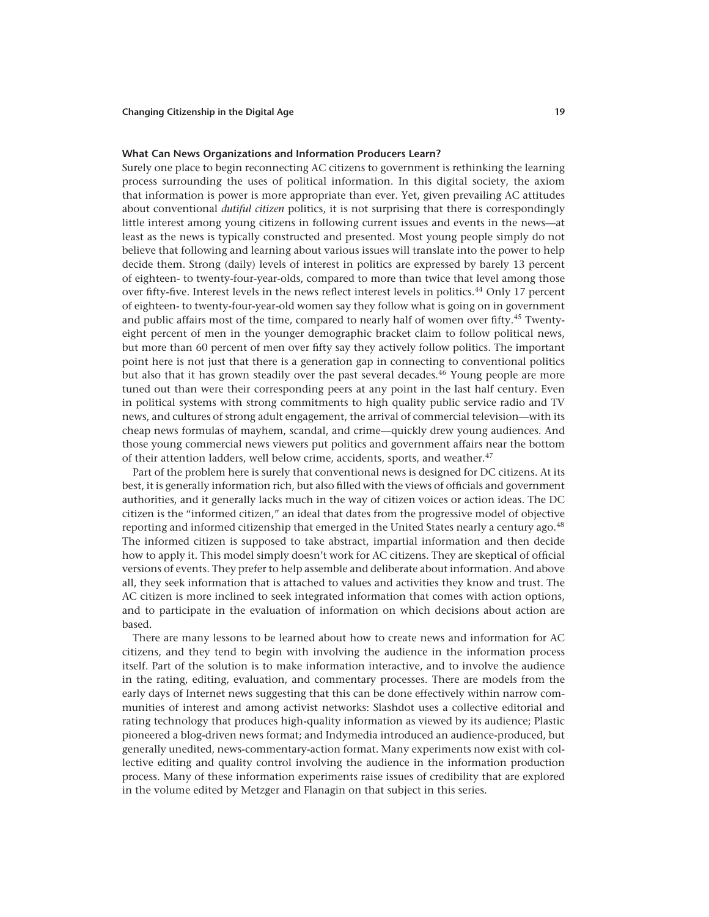### **What Can News Organizations and Information Producers Learn?**

Surely one place to begin reconnecting AC citizens to government is rethinking the learning process surrounding the uses of political information. In this digital society, the axiom that information is power is more appropriate than ever. Yet, given prevailing AC attitudes about conventional *dutiful citizen* politics, it is not surprising that there is correspondingly little interest among young citizens in following current issues and events in the news—at least as the news is typically constructed and presented. Most young people simply do not believe that following and learning about various issues will translate into the power to help decide them. Strong (daily) levels of interest in politics are expressed by barely 13 percent of eighteen- to twenty-four-year-olds, compared to more than twice that level among those over fifty-five. Interest levels in the news reflect interest levels in politics.<sup>44</sup> Only 17 percent of eighteen- to twenty-four-year-old women say they follow what is going on in government and public affairs most of the time, compared to nearly half of women over fifty.<sup>45</sup> Twentyeight percent of men in the younger demographic bracket claim to follow political news, but more than 60 percent of men over fifty say they actively follow politics. The important point here is not just that there is a generation gap in connecting to conventional politics but also that it has grown steadily over the past several decades.<sup>46</sup> Young people are more tuned out than were their corresponding peers at any point in the last half century. Even in political systems with strong commitments to high quality public service radio and TV news, and cultures of strong adult engagement, the arrival of commercial television—with its cheap news formulas of mayhem, scandal, and crime—quickly drew young audiences. And those young commercial news viewers put politics and government affairs near the bottom of their attention ladders, well below crime, accidents, sports, and weather.<sup>47</sup>

Part of the problem here is surely that conventional news is designed for DC citizens. At its best, it is generally information rich, but also filled with the views of officials and government authorities, and it generally lacks much in the way of citizen voices or action ideas. The DC citizen is the "informed citizen," an ideal that dates from the progressive model of objective reporting and informed citizenship that emerged in the United States nearly a century ago.<sup>48</sup> The informed citizen is supposed to take abstract, impartial information and then decide how to apply it. This model simply doesn't work for AC citizens. They are skeptical of official versions of events. They prefer to help assemble and deliberate about information. And above all, they seek information that is attached to values and activities they know and trust. The AC citizen is more inclined to seek integrated information that comes with action options, and to participate in the evaluation of information on which decisions about action are based.

There are many lessons to be learned about how to create news and information for AC citizens, and they tend to begin with involving the audience in the information process itself. Part of the solution is to make information interactive, and to involve the audience in the rating, editing, evaluation, and commentary processes. There are models from the early days of Internet news suggesting that this can be done effectively within narrow communities of interest and among activist networks: Slashdot uses a collective editorial and rating technology that produces high-quality information as viewed by its audience; Plastic pioneered a blog-driven news format; and Indymedia introduced an audience-produced, but generally unedited, news-commentary-action format. Many experiments now exist with collective editing and quality control involving the audience in the information production process. Many of these information experiments raise issues of credibility that are explored in the volume edited by Metzger and Flanagin on that subject in this series.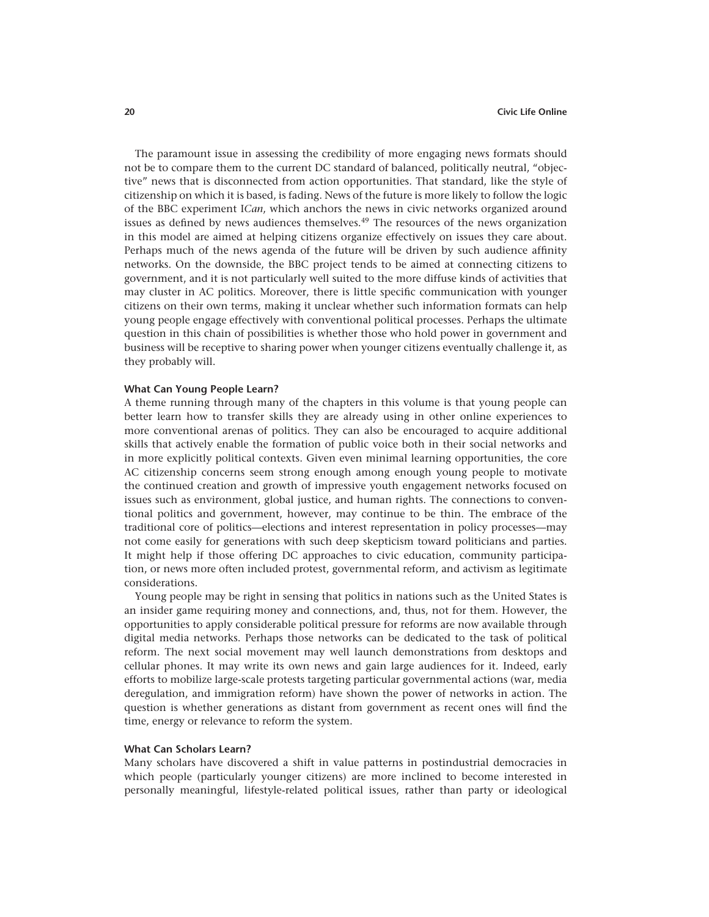The paramount issue in assessing the credibility of more engaging news formats should not be to compare them to the current DC standard of balanced, politically neutral, "objective" news that is disconnected from action opportunities. That standard, like the style of citizenship on which it is based, is fading. News of the future is more likely to follow the logic of the BBC experiment I*Can*, which anchors the news in civic networks organized around issues as defined by news audiences themselves.<sup>49</sup> The resources of the news organization in this model are aimed at helping citizens organize effectively on issues they care about. Perhaps much of the news agenda of the future will be driven by such audience affinity networks. On the downside, the BBC project tends to be aimed at connecting citizens to government, and it is not particularly well suited to the more diffuse kinds of activities that may cluster in AC politics. Moreover, there is little specific communication with younger citizens on their own terms, making it unclear whether such information formats can help young people engage effectively with conventional political processes. Perhaps the ultimate question in this chain of possibilities is whether those who hold power in government and business will be receptive to sharing power when younger citizens eventually challenge it, as they probably will.

### **What Can Young People Learn?**

A theme running through many of the chapters in this volume is that young people can better learn how to transfer skills they are already using in other online experiences to more conventional arenas of politics. They can also be encouraged to acquire additional skills that actively enable the formation of public voice both in their social networks and in more explicitly political contexts. Given even minimal learning opportunities, the core AC citizenship concerns seem strong enough among enough young people to motivate the continued creation and growth of impressive youth engagement networks focused on issues such as environment, global justice, and human rights. The connections to conventional politics and government, however, may continue to be thin. The embrace of the traditional core of politics—elections and interest representation in policy processes—may not come easily for generations with such deep skepticism toward politicians and parties. It might help if those offering DC approaches to civic education, community participation, or news more often included protest, governmental reform, and activism as legitimate considerations.

Young people may be right in sensing that politics in nations such as the United States is an insider game requiring money and connections, and, thus, not for them. However, the opportunities to apply considerable political pressure for reforms are now available through digital media networks. Perhaps those networks can be dedicated to the task of political reform. The next social movement may well launch demonstrations from desktops and cellular phones. It may write its own news and gain large audiences for it. Indeed, early efforts to mobilize large-scale protests targeting particular governmental actions (war, media deregulation, and immigration reform) have shown the power of networks in action. The question is whether generations as distant from government as recent ones will find the time, energy or relevance to reform the system.

### **What Can Scholars Learn?**

Many scholars have discovered a shift in value patterns in postindustrial democracies in which people (particularly younger citizens) are more inclined to become interested in personally meaningful, lifestyle-related political issues, rather than party or ideological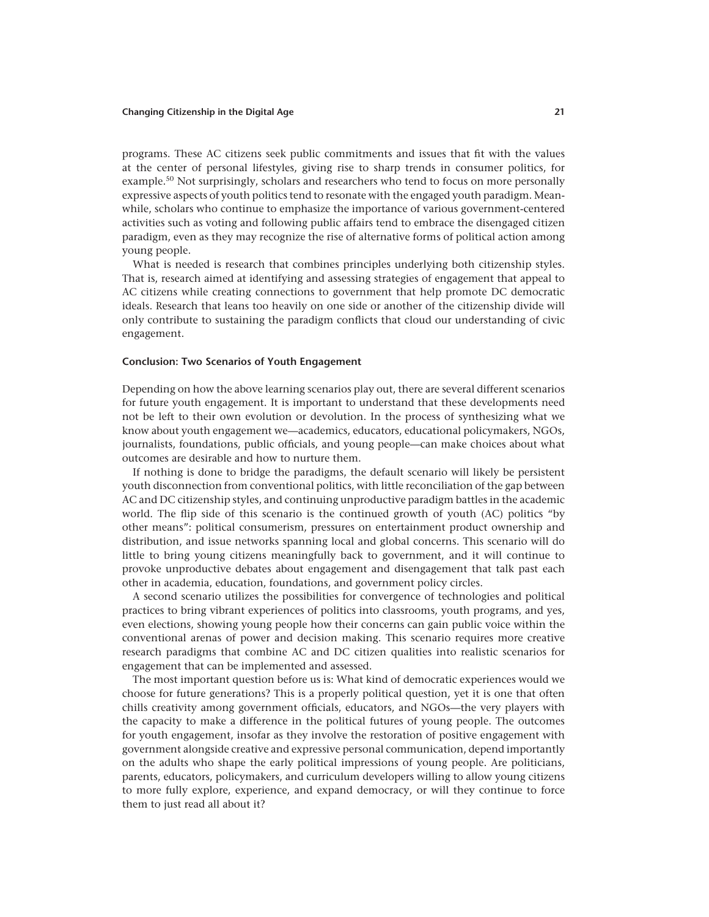programs. These AC citizens seek public commitments and issues that fit with the values at the center of personal lifestyles, giving rise to sharp trends in consumer politics, for example.<sup>50</sup> Not surprisingly, scholars and researchers who tend to focus on more personally expressive aspects of youth politics tend to resonate with the engaged youth paradigm. Meanwhile, scholars who continue to emphasize the importance of various government-centered activities such as voting and following public affairs tend to embrace the disengaged citizen paradigm, even as they may recognize the rise of alternative forms of political action among young people.

What is needed is research that combines principles underlying both citizenship styles. That is, research aimed at identifying and assessing strategies of engagement that appeal to AC citizens while creating connections to government that help promote DC democratic ideals. Research that leans too heavily on one side or another of the citizenship divide will only contribute to sustaining the paradigm conflicts that cloud our understanding of civic engagement.

### **Conclusion: Two Scenarios of Youth Engagement**

Depending on how the above learning scenarios play out, there are several different scenarios for future youth engagement. It is important to understand that these developments need not be left to their own evolution or devolution. In the process of synthesizing what we know about youth engagement we—academics, educators, educational policymakers, NGOs, journalists, foundations, public officials, and young people—can make choices about what outcomes are desirable and how to nurture them.

If nothing is done to bridge the paradigms, the default scenario will likely be persistent youth disconnection from conventional politics, with little reconciliation of the gap between AC and DC citizenship styles, and continuing unproductive paradigm battles in the academic world. The flip side of this scenario is the continued growth of youth (AC) politics "by other means": political consumerism, pressures on entertainment product ownership and distribution, and issue networks spanning local and global concerns. This scenario will do little to bring young citizens meaningfully back to government, and it will continue to provoke unproductive debates about engagement and disengagement that talk past each other in academia, education, foundations, and government policy circles.

A second scenario utilizes the possibilities for convergence of technologies and political practices to bring vibrant experiences of politics into classrooms, youth programs, and yes, even elections, showing young people how their concerns can gain public voice within the conventional arenas of power and decision making. This scenario requires more creative research paradigms that combine AC and DC citizen qualities into realistic scenarios for engagement that can be implemented and assessed.

The most important question before us is: What kind of democratic experiences would we choose for future generations? This is a properly political question, yet it is one that often chills creativity among government officials, educators, and NGOs—the very players with the capacity to make a difference in the political futures of young people. The outcomes for youth engagement, insofar as they involve the restoration of positive engagement with government alongside creative and expressive personal communication, depend importantly on the adults who shape the early political impressions of young people. Are politicians, parents, educators, policymakers, and curriculum developers willing to allow young citizens to more fully explore, experience, and expand democracy, or will they continue to force them to just read all about it?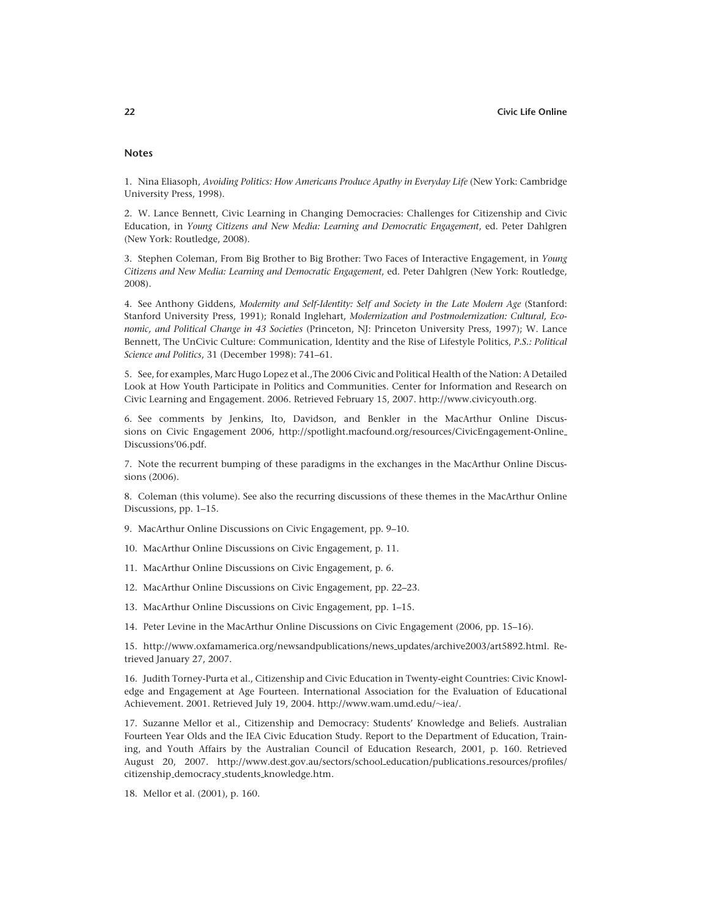#### **Notes**

1. Nina Eliasoph, *Avoiding Politics: How Americans Produce Apathy in Everyday Life* (New York: Cambridge University Press, 1998).

2. W. Lance Bennett, Civic Learning in Changing Democracies: Challenges for Citizenship and Civic Education, in *Young Citizens and New Media: Learning and Democratic Engagement*, ed. Peter Dahlgren (New York: Routledge, 2008).

3. Stephen Coleman, From Big Brother to Big Brother: Two Faces of Interactive Engagement, in *Young Citizens and New Media: Learning and Democratic Engagement*, ed. Peter Dahlgren (New York: Routledge, 2008).

4. See Anthony Giddens, *Modernity and Self-Identity: Self and Society in the Late Modern Age* (Stanford: Stanford University Press, 1991); Ronald Inglehart, *Modernization and Postmodernization: Cultural, Economic, and Political Change in 43 Societies* (Princeton, NJ: Princeton University Press, 1997); W. Lance Bennett, The UnCivic Culture: Communication, Identity and the Rise of Lifestyle Politics, *P.S.: Political Science and Politics*, 31 (December 1998): 741–61.

5. See, for examples, Marc Hugo Lopez et al.,The 2006 Civic and Political Health of the Nation: A Detailed Look at How Youth Participate in Politics and Communities. Center for Information and Research on Civic Learning and Engagement. 2006. Retrieved February 15, 2007. http://www.civicyouth.org.

6. See comments by Jenkins, Ito, Davidson, and Benkler in the MacArthur Online Discussions on Civic Engagement 2006, http://spotlight.macfound.org/resources/CivicEngagement-Online Discussions'06.pdf.

7. Note the recurrent bumping of these paradigms in the exchanges in the MacArthur Online Discussions (2006).

8. Coleman (this volume). See also the recurring discussions of these themes in the MacArthur Online Discussions, pp. 1–15.

9. MacArthur Online Discussions on Civic Engagement, pp. 9–10.

10. MacArthur Online Discussions on Civic Engagement, p. 11.

11. MacArthur Online Discussions on Civic Engagement, p. 6.

12. MacArthur Online Discussions on Civic Engagement, pp. 22–23.

13. MacArthur Online Discussions on Civic Engagement, pp. 1–15.

14. Peter Levine in the MacArthur Online Discussions on Civic Engagement (2006, pp. 15–16).

15. http://www.oxfamamerica.org/newsandpublications/news updates/archive2003/art5892.html. Retrieved January 27, 2007.

16. Judith Torney-Purta et al., Citizenship and Civic Education in Twenty-eight Countries: Civic Knowledge and Engagement at Age Fourteen. International Association for the Evaluation of Educational Achievement. 2001. Retrieved July 19, 2004. http://www.wam.umd.edu/∼iea/.

17. Suzanne Mellor et al., Citizenship and Democracy: Students' Knowledge and Beliefs. Australian Fourteen Year Olds and the IEA Civic Education Study. Report to the Department of Education, Training, and Youth Affairs by the Australian Council of Education Research, 2001, p. 160. Retrieved August 20, 2007. http://www.dest.gov.au/sectors/school education/publications resources/profiles/ citizenship democracy students knowledge.htm.

18. Mellor et al. (2001), p. 160.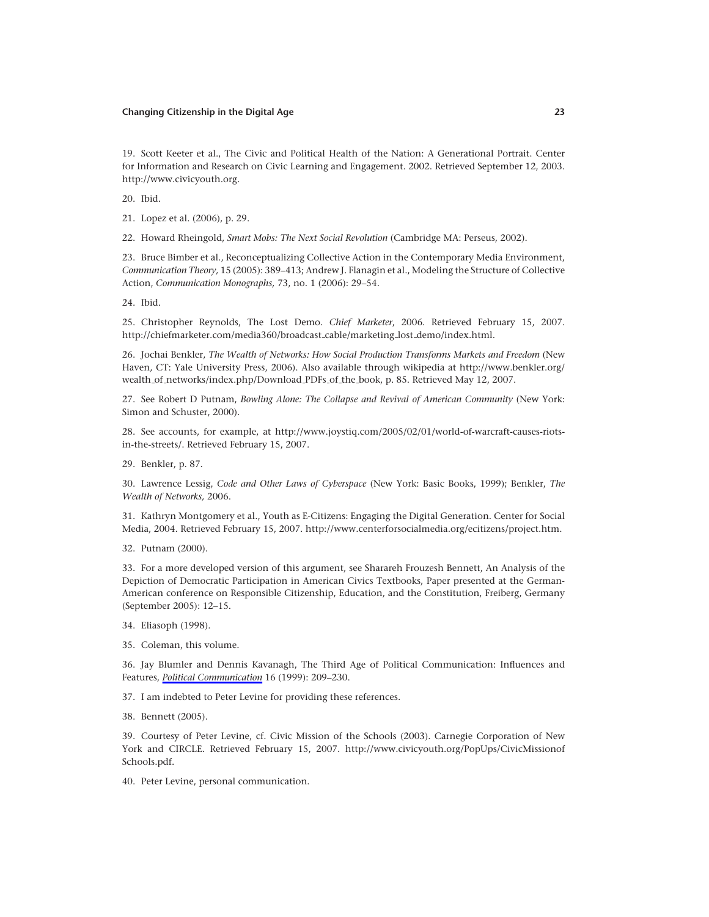19. Scott Keeter et al., The Civic and Political Health of the Nation: A Generational Portrait. Center for Information and Research on Civic Learning and Engagement. 2002. Retrieved September 12, 2003. http://www.civicyouth.org.

20. Ibid.

21. Lopez et al. (2006), p. 29.

22. Howard Rheingold, *Smart Mobs: The Next Social Revolution* (Cambridge MA: Perseus, 2002).

23. Bruce Bimber et al., Reconceptualizing Collective Action in the Contemporary Media Environment, *Communication Theory,* 15 (2005): 389–413; Andrew J. Flanagin et al., Modeling the Structure of Collective Action, *Communication Monographs,* 73, no. 1 (2006): 29–54.

24. Ibid.

25. Christopher Reynolds, The Lost Demo. *Chief Marketer*, 2006. Retrieved February 15, 2007. http://chiefmarketer.com/media360/broadcast cable/marketing lost demo/index.html.

26. Jochai Benkler, *The Wealth of Networks: How Social Production Transforms Markets and Freedom* (New Haven, CT: Yale University Press, 2006). Also available through wikipedia at http://www.benkler.org/ wealth of networks/index.php/Download PDFs of the book, p. 85. Retrieved May 12, 2007.

27. See Robert D Putnam, *Bowling Alone: The Collapse and Revival of American Community* (New York: Simon and Schuster, 2000).

28. See accounts, for example, at http://www.joystiq.com/2005/02/01/world-of-warcraft-causes-riotsin-the-streets/. Retrieved February 15, 2007.

29. Benkler, p. 87.

30. Lawrence Lessig, *Code and Other Laws of Cyberspace* (New York: Basic Books, 1999); Benkler, *The Wealth of Networks,* 2006.

31. Kathryn Montgomery et al., Youth as E-Citizens: Engaging the Digital Generation. Center for Social Media, 2004. Retrieved February 15, 2007. http://www.centerforsocialmedia.org/ecitizens/project.htm.

32. Putnam (2000).

33. For a more developed version of this argument, see Sharareh Frouzesh Bennett, An Analysis of the Depiction of Democratic Participation in American Civics Textbooks, Paper presented at the German-American conference on Responsible Citizenship, Education, and the Constitution, Freiberg, Germany (September 2005): 12–15.

34. Eliasoph (1998).

35. Coleman, this volume.

36. Jay Blumler and Dennis Kavanagh, The Third Age of Political Communication: Influences and Features, *Political Communication* 16 (1999): 209–230.

37. I am indebted to Peter Levine for providing these references.

38. Bennett (2005).

39. Courtesy of Peter Levine, cf. Civic Mission of the Schools (2003). Carnegie Corporation of New York and CIRCLE. Retrieved February 15, 2007. http://www.civicyouth.org/PopUps/CivicMissionof Schools.pdf.

40. Peter Levine, personal communication.